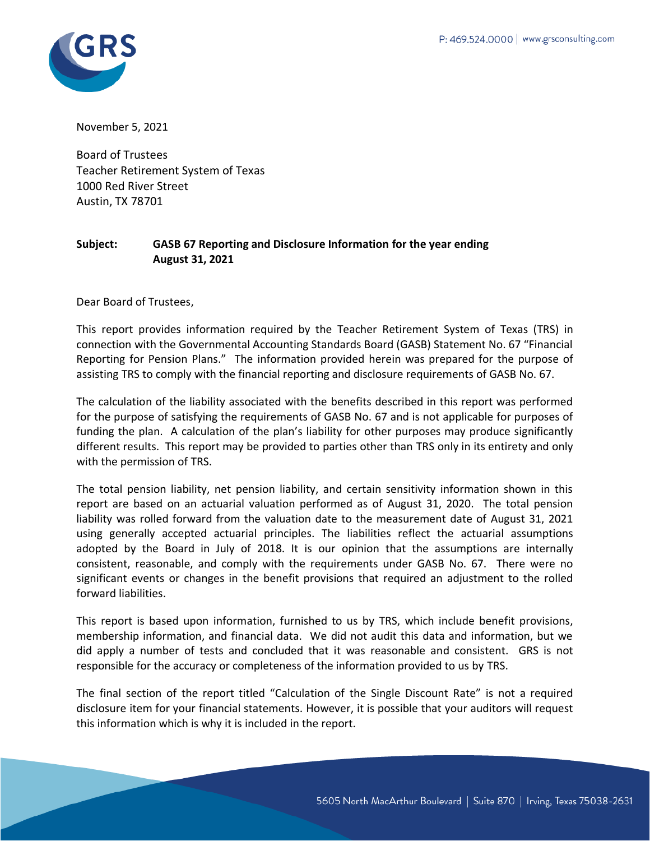

November 5, 2021

Board of Trustees Teacher Retirement System of Texas 1000 Red River Street Austin, TX 78701

#### **Subject: GASB 67 Reporting and Disclosure Information for the year ending August 31, 2021**

Dear Board of Trustees,

This report provides information required by the Teacher Retirement System of Texas (TRS) in connection with the Governmental Accounting Standards Board (GASB) Statement No. 67 "Financial Reporting for Pension Plans." The information provided herein was prepared for the purpose of assisting TRS to comply with the financial reporting and disclosure requirements of GASB No. 67.

The calculation of the liability associated with the benefits described in this report was performed for the purpose of satisfying the requirements of GASB No. 67 and is not applicable for purposes of funding the plan. A calculation of the plan's liability for other purposes may produce significantly different results. This report may be provided to parties other than TRS only in its entirety and only with the permission of TRS.

The total pension liability, net pension liability, and certain sensitivity information shown in this report are based on an actuarial valuation performed as of August 31, 2020. The total pension liability was rolled forward from the valuation date to the measurement date of August 31, 2021 using generally accepted actuarial principles. The liabilities reflect the actuarial assumptions adopted by the Board in July of 2018. It is our opinion that the assumptions are internally consistent, reasonable, and comply with the requirements under GASB No. 67. There were no significant events or changes in the benefit provisions that required an adjustment to the rolled forward liabilities.

This report is based upon information, furnished to us by TRS, which include benefit provisions, membership information, and financial data. We did not audit this data and information, but we did apply a number of tests and concluded that it was reasonable and consistent. GRS is not responsible for the accuracy or completeness of the information provided to us by TRS.

The final section of the report titled "Calculation of the Single Discount Rate" is not a required disclosure item for your financial statements. However, it is possible that your auditors will request this information which is why it is included in the report.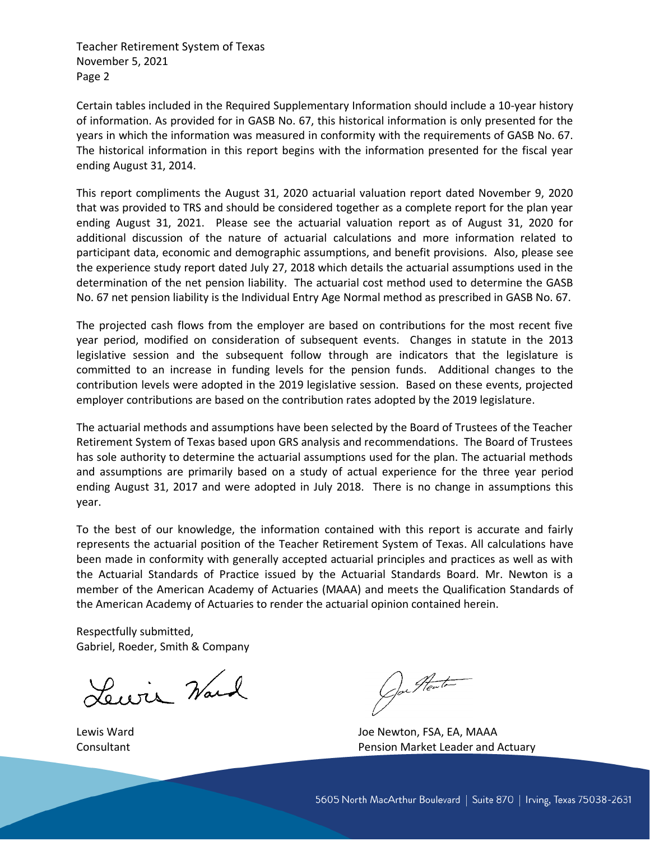Teacher Retirement System of Texas November 5, 2021 Page 2

Certain tables included in the Required Supplementary Information should include a 10-year history of information. As provided for in GASB No. 67, this historical information is only presented for the years in which the information was measured in conformity with the requirements of GASB No. 67. The historical information in this report begins with the information presented for the fiscal year ending August 31, 2014.

This report compliments the August 31, 2020 actuarial valuation report dated November 9, 2020 that was provided to TRS and should be considered together as a complete report for the plan year ending August 31, 2021. Please see the actuarial valuation report as of August 31, 2020 for additional discussion of the nature of actuarial calculations and more information related to participant data, economic and demographic assumptions, and benefit provisions. Also, please see the experience study report dated July 27, 2018 which details the actuarial assumptions used in the determination of the net pension liability. The actuarial cost method used to determine the GASB No. 67 net pension liability is the Individual Entry Age Normal method as prescribed in GASB No. 67.

The projected cash flows from the employer are based on contributions for the most recent five year period, modified on consideration of subsequent events. Changes in statute in the 2013 legislative session and the subsequent follow through are indicators that the legislature is committed to an increase in funding levels for the pension funds. Additional changes to the contribution levels were adopted in the 2019 legislative session. Based on these events, projected employer contributions are based on the contribution rates adopted by the 2019 legislature.

The actuarial methods and assumptions have been selected by the Board of Trustees of the Teacher Retirement System of Texas based upon GRS analysis and recommendations. The Board of Trustees has sole authority to determine the actuarial assumptions used for the plan. The actuarial methods and assumptions are primarily based on a study of actual experience for the three year period ending August 31, 2017 and were adopted in July 2018. There is no change in assumptions this year.

To the best of our knowledge, the information contained with this report is accurate and fairly represents the actuarial position of the Teacher Retirement System of Texas. All calculations have been made in conformity with generally accepted actuarial principles and practices as well as with the Actuarial Standards of Practice issued by the Actuarial Standards Board. Mr. Newton is a member of the American Academy of Actuaries (MAAA) and meets the Qualification Standards of the American Academy of Actuaries to render the actuarial opinion contained herein.

Respectfully submitted, Gabriel, Roeder, Smith & Company

Lewis Ward

Jou Heat

Lewis Ward Joe Newton, FSA, EA, MAAA Consultant **Pension Market Leader and Actuary**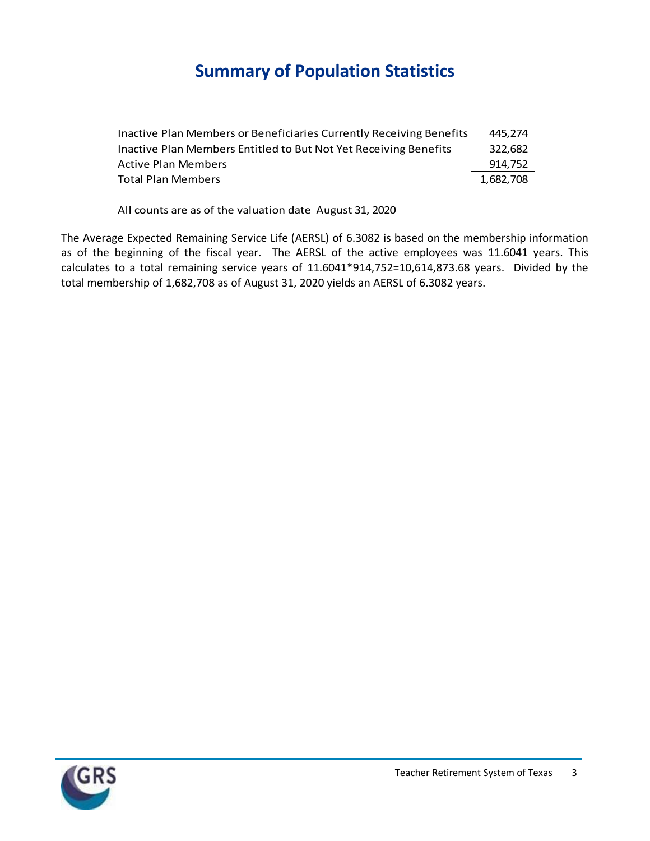### **Summary of Population Statistics**

| Inactive Plan Members or Beneficiaries Currently Receiving Benefits | 445.274   |
|---------------------------------------------------------------------|-----------|
| Inactive Plan Members Entitled to But Not Yet Receiving Benefits    | 322,682   |
| <b>Active Plan Members</b>                                          | 914,752   |
| <b>Total Plan Members</b>                                           | 1,682,708 |
|                                                                     |           |

All counts are as of the valuation date August 31, 2020

The Average Expected Remaining Service Life (AERSL) of 6.3082 is based on the membership information as of the beginning of the fiscal year. The AERSL of the active employees was 11.6041 years. This calculates to a total remaining service years of 11.6041\*914,752=10,614,873.68 years. Divided by the total membership of 1,682,708 as of August 31, 2020 yields an AERSL of 6.3082 years.

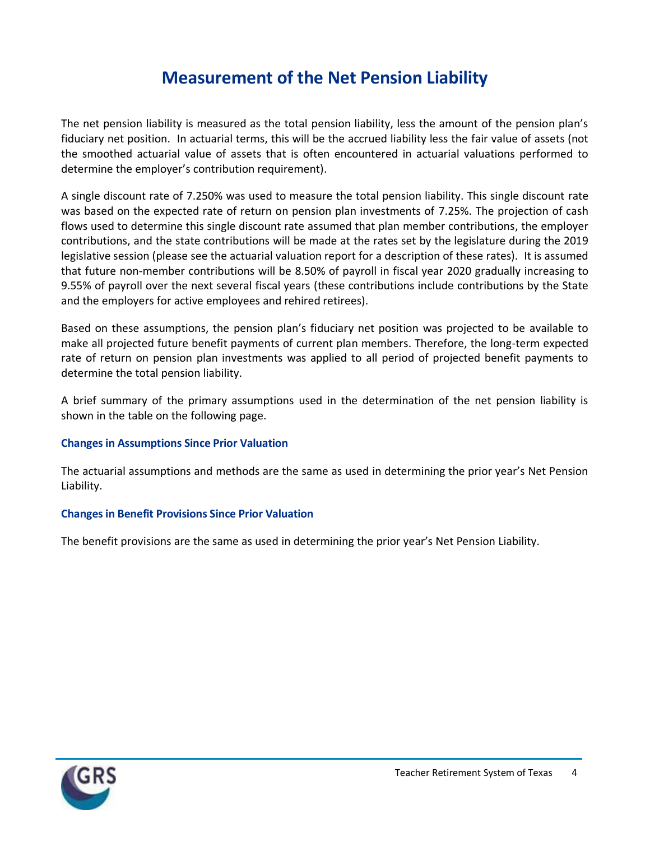#### **Measurement of the Net Pension Liability**

The net pension liability is measured as the total pension liability, less the amount of the pension plan's fiduciary net position. In actuarial terms, this will be the accrued liability less the fair value of assets (not the smoothed actuarial value of assets that is often encountered in actuarial valuations performed to determine the employer's contribution requirement).

A single discount rate of 7.250% was used to measure the total pension liability. This single discount rate was based on the expected rate of return on pension plan investments of 7.25%. The projection of cash flows used to determine this single discount rate assumed that plan member contributions, the employer contributions, and the state contributions will be made at the rates set by the legislature during the 2019 legislative session (please see the actuarial valuation report for a description of these rates). It is assumed that future non-member contributions will be 8.50% of payroll in fiscal year 2020 gradually increasing to 9.55% of payroll over the next several fiscal years (these contributions include contributions by the State and the employers for active employees and rehired retirees).

Based on these assumptions, the pension plan's fiduciary net position was projected to be available to make all projected future benefit payments of current plan members. Therefore, the long-term expected rate of return on pension plan investments was applied to all period of projected benefit payments to determine the total pension liability.

A brief summary of the primary assumptions used in the determination of the net pension liability is shown in the table on the following page.

#### **Changes in Assumptions Since Prior Valuation**

The actuarial assumptions and methods are the same as used in determining the prior year's Net Pension Liability.

#### **Changes in Benefit Provisions Since Prior Valuation**

The benefit provisions are the same as used in determining the prior year's Net Pension Liability.

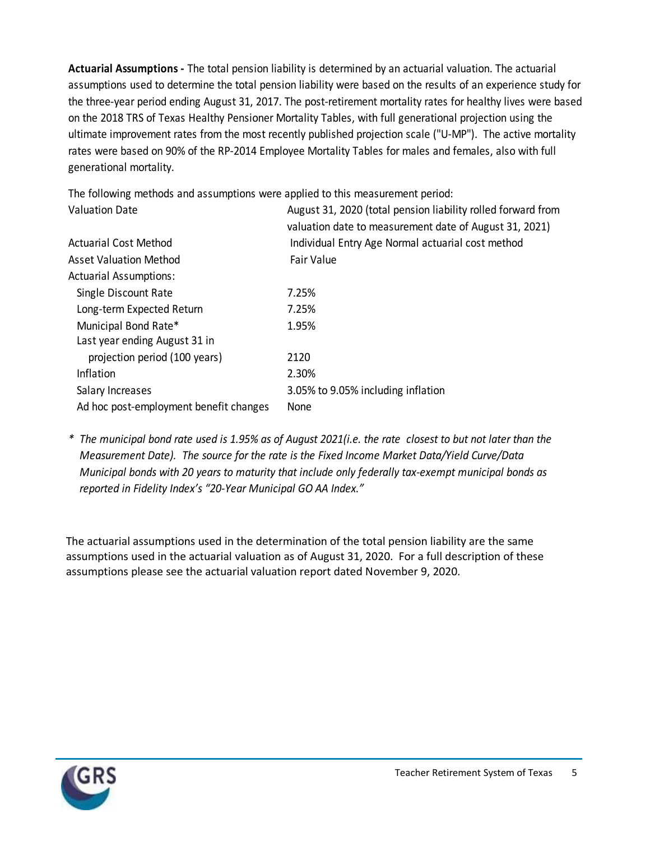**Actuarial Assumptions -** The total pension liability is determined by an actuarial valuation. The actuarial assumptions used to determine the total pension liability were based on the results of an experience study for the three-year period ending August 31, 2017. The post-retirement mortality rates for healthy lives were based on the 2018 TRS of Texas Healthy Pensioner Mortality Tables, with full generational projection using the ultimate improvement rates from the most recently published projection scale ("U-MP"). The active mortality rates were based on 90% of the RP-2014 Employee Mortality Tables for males and females, also with full generational mortality.

Valuation Date **August 31, 2020** (total pension liability rolled forward from valuation date to measurement date of August 31, 2021) Actuarial Cost Method Individual Entry Age Normal actuarial cost method Asset Valuation Method Fair Value Actuarial Assumptions: Single Discount Rate 7.25% Long-term Expected Return 7.25% Municipal Bond Rate\* 1.95% Last year ending August 31 in projection period (100 years) 2120 Inflation 2.30% Salary Increases 3.05% to 9.05% including inflation Ad hoc post-employment benefit changes None

The following methods and assumptions were applied to this measurement period:

*\* The municipal bond rate used is 1.95% as of August 2021(i.e. the rate closest to but not later than the Measurement Date). The source for the rate is the Fixed Income Market Data/Yield Curve/Data Municipal bonds with 20 years to maturity that include only federally tax-exempt municipal bonds as reported in Fidelity Index's "20-Year Municipal GO AA Index."*

The actuarial assumptions used in the determination of the total pension liability are the same assumptions used in the actuarial valuation as of August 31, 2020. For a full description of these assumptions please see the actuarial valuation report dated November 9, 2020.

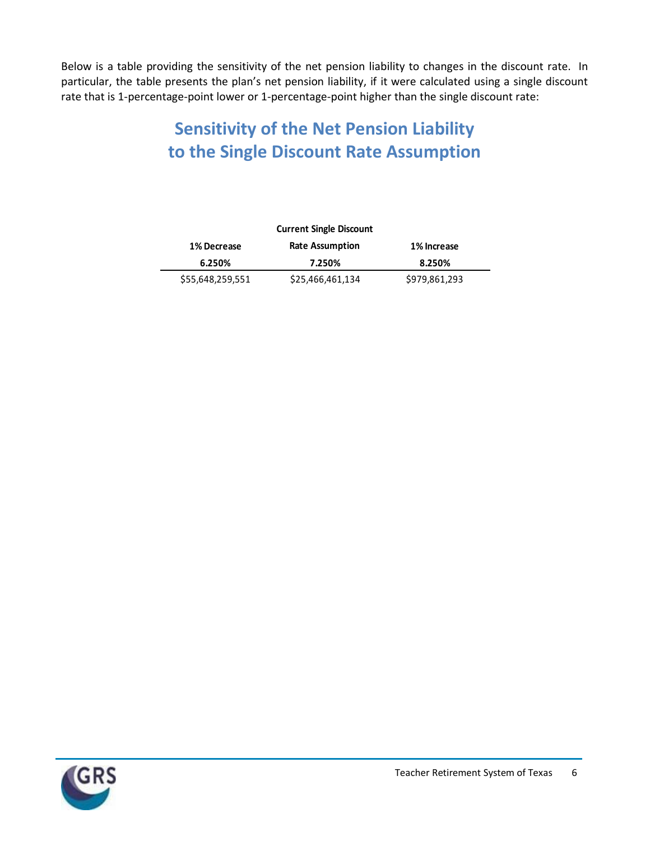Below is a table providing the sensitivity of the net pension liability to changes in the discount rate. In particular, the table presents the plan's net pension liability, if it were calculated using a single discount rate that is 1-percentage-point lower or 1-percentage-point higher than the single discount rate:

## **Sensitivity of the Net Pension Liability to the Single Discount Rate Assumption**

| <b>Current Single Discount</b> |                        |               |  |  |  |  |
|--------------------------------|------------------------|---------------|--|--|--|--|
| 1% Decrease                    | <b>Rate Assumption</b> | 1% Increase   |  |  |  |  |
| 6.250%                         | 7.250%                 | 8.250%        |  |  |  |  |
| \$55,648,259,551               | \$25,466,461,134       | \$979,861,293 |  |  |  |  |

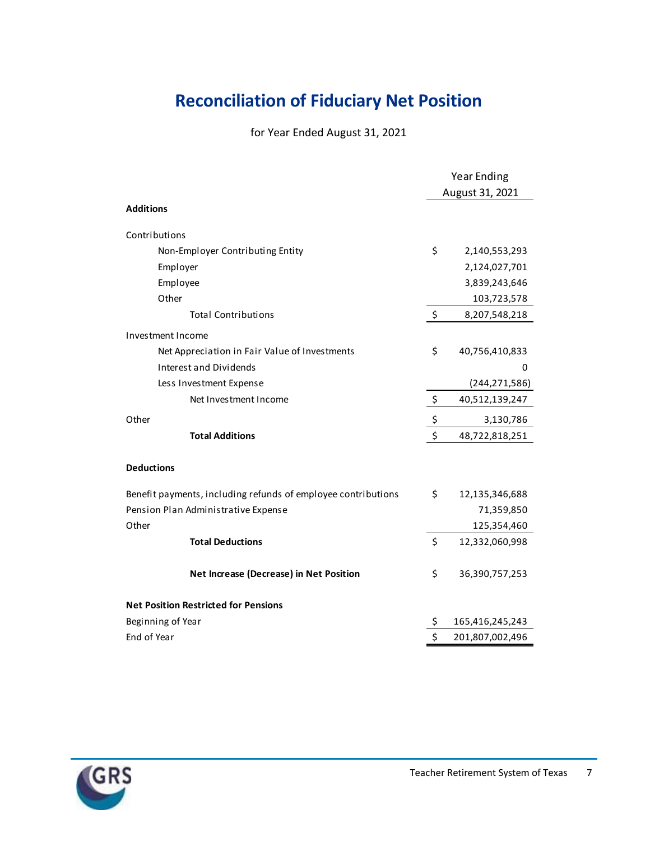## **Reconciliation of Fiduciary Net Position**

for Year Ended August 31, 2021

|                                                               | <b>Year Ending</b> |                 |  |
|---------------------------------------------------------------|--------------------|-----------------|--|
|                                                               | August 31, 2021    |                 |  |
| <b>Additions</b>                                              |                    |                 |  |
| Contributions                                                 |                    |                 |  |
| Non-Employer Contributing Entity                              | \$                 | 2,140,553,293   |  |
| Employer                                                      |                    | 2,124,027,701   |  |
| Employee                                                      |                    | 3,839,243,646   |  |
| Other                                                         |                    | 103,723,578     |  |
| <b>Total Contributions</b>                                    | \$                 | 8,207,548,218   |  |
| Investment Income                                             |                    |                 |  |
| Net Appreciation in Fair Value of Investments                 | \$                 | 40,756,410,833  |  |
| Interest and Dividends                                        |                    | 0               |  |
| Less Investment Expense                                       |                    | (244, 271, 586) |  |
| Net Investment Income                                         | -\$                | 40,512,139,247  |  |
| Other                                                         | \$                 | 3,130,786       |  |
| <b>Total Additions</b>                                        | \$                 | 48,722,818,251  |  |
| <b>Deductions</b>                                             |                    |                 |  |
| Benefit payments, including refunds of employee contributions | \$                 | 12,135,346,688  |  |
| Pension Plan Administrative Expense                           |                    | 71,359,850      |  |
| Other                                                         |                    | 125,354,460     |  |
| <b>Total Deductions</b>                                       | \$                 | 12,332,060,998  |  |
| Net Increase (Decrease) in Net Position                       | \$                 | 36,390,757,253  |  |
| <b>Net Position Restricted for Pensions</b>                   |                    |                 |  |
| Beginning of Year                                             | \$                 | 165,416,245,243 |  |
| End of Year                                                   | \$                 | 201,807,002,496 |  |

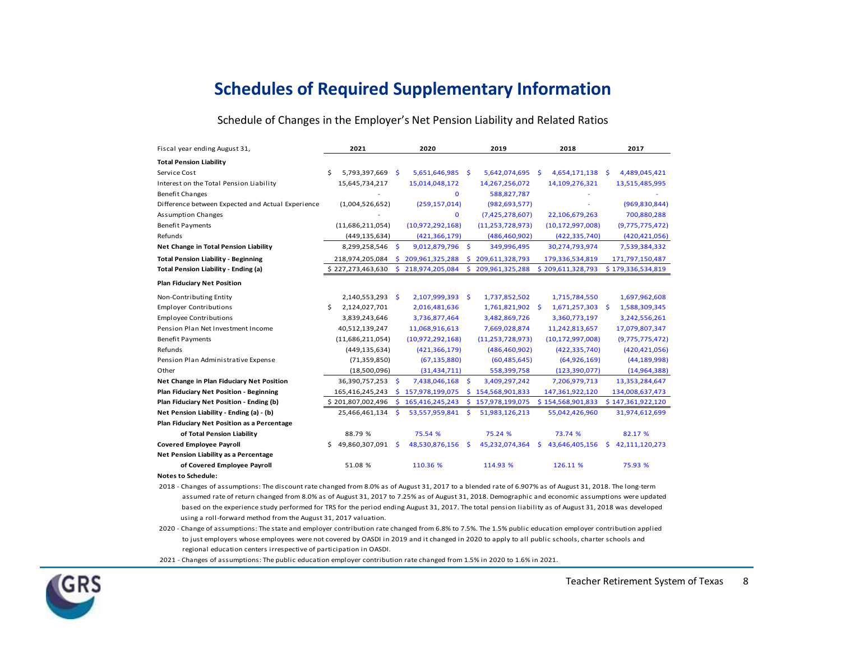#### **Schedules of Required Supplementary Information**

#### Schedule of Changes in the Employer's Net Pension Liability and Related Ratios

| Fiscal year ending August 31,                     |     | 2021              |     | 2020              |          | 2019                |      | 2018                |    | 2017              |
|---------------------------------------------------|-----|-------------------|-----|-------------------|----------|---------------------|------|---------------------|----|-------------------|
| <b>Total Pension Liability</b>                    |     |                   |     |                   |          |                     |      |                     |    |                   |
| Service Cost                                      | \$. | 5,793,397,669     | -\$ | 5,651,646,985     | <b>S</b> | 5,642,074,695       | -S   | 4,654,171,138       | S  | 4,489,045,421     |
| Interest on the Total Pension Liability           |     | 15,645,734,217    |     | 15,014,048,172    |          | 14,267,256,072      |      | 14,109,276,321      |    | 13,515,485,995    |
| <b>Benefit Changes</b>                            |     |                   |     | $\Omega$          |          | 588,827,787         |      |                     |    |                   |
| Difference between Expected and Actual Experience |     | (1,004,526,652)   |     | (259, 157, 014)   |          | (982, 693, 577)     |      |                     |    | (969, 830, 844)   |
| <b>Assumption Changes</b>                         |     |                   |     | $\mathbf 0$       |          | (7,425,278,607)     |      | 22,106,679,263      |    | 700,880,288       |
| <b>Benefit Payments</b>                           |     | (11,686,211,054)  |     | (10,972,292,168)  |          | (11, 253, 728, 973) |      | (10, 172, 997, 008) |    | (9,775,775,472)   |
| Refunds                                           |     | (449, 135, 634)   |     | (421, 366, 179)   |          | (486, 460, 902)     |      | (422, 335, 740)     |    | (420, 421, 056)   |
| Net Change in Total Pension Liability             |     | 8,299,258,546     | .s  | 9,012,879,796     | -S       | 349,996,495         |      | 30,274,793,974      |    | 7,539,384,332     |
| <b>Total Pension Liability - Beginning</b>        |     | 218,974,205,084   |     | \$209,961,325,288 | s.       | 209,611,328,793     |      | 179,336,534,819     |    | 171,797,150,487   |
| <b>Total Pension Liability - Ending (a)</b>       |     | \$227,273,463,630 |     | \$218,974,205,084 | \$.      | 209,961,325,288     |      | \$209,611,328,793   |    | \$179,336,534,819 |
| <b>Plan Fiduciary Net Position</b>                |     |                   |     |                   |          |                     |      |                     |    |                   |
| Non-Contributing Entity                           |     | 2,140,553,293     | -S  | 2,107,999,393     | -S       | 1,737,852,502       |      | 1,715,784,550       |    | 1,697,962,608     |
| <b>Employer Contributions</b>                     | \$  | 2,124,027,701     |     | 2,016,481,636     |          | 1,761,821,902       | - \$ | 1,671,257,303       | -S | 1,588,309,345     |
| <b>Employee Contributions</b>                     |     | 3,839,243,646     |     | 3,736,877,464     |          | 3,482,869,726       |      | 3,360,773,197       |    | 3,242,556,261     |
| Pension Plan Net Investment Income                |     | 40,512,139,247    |     | 11,068,916,613    |          | 7,669,028,874       |      | 11,242,813,657      |    | 17,079,807,347    |
| <b>Benefit Payments</b>                           |     | (11,686,211,054)  |     | (10,972,292,168)  |          | (11, 253, 728, 973) |      | (10, 172, 997, 008) |    | (9,775,775,472)   |
| Refunds                                           |     | (449, 135, 634)   |     | (421, 366, 179)   |          | (486, 460, 902)     |      | (422, 335, 740)     |    | (420, 421, 056)   |
| Pension Plan Administrative Expense               |     | (71, 359, 850)    |     | (67, 135, 880)    |          | (60, 485, 645)      |      | (64, 926, 169)      |    | (44, 189, 998)    |
| Other                                             |     | (18,500,096)      |     | (31, 434, 711)    |          | 558,399,758         |      | (123, 390, 077)     |    | (14, 964, 388)    |
| Net Change in Plan Fiduciary Net Position         |     | 36,390,757,253    | .s  | 7,438,046,168     | <b>S</b> | 3,409,297,242       |      | 7,206,979,713       |    | 13,353,284,647    |
| <b>Plan Fiduciary Net Position - Beginning</b>    |     | 165,416,245,243   |     | \$157,978,199,075 |          | \$154,568,901,833   |      | 147,361,922,120     |    | 134,008,637,473   |
| Plan Fiduciary Net Position - Ending (b)          |     | \$201,807,002,496 |     | \$165,416,245,243 |          | \$157,978,199,075   |      | \$154,568,901,833   |    | \$147,361,922,120 |
| Net Pension Liability - Ending (a) - (b)          |     | 25,466,461,134    | s   | 53,557,959,841    | s.       | 51,983,126,213      |      | 55,042,426,960      |    | 31,974,612,699    |
| Plan Fiduciary Net Position as a Percentage       |     |                   |     |                   |          |                     |      |                     |    |                   |
| of Total Pension Liability                        |     | 88.79 %           |     | 75.54 %           |          | 75.24 %             |      | 73.74 %             |    | 82.17 %           |
| <b>Covered Employee Payroll</b>                   | S.  | 49,860,307,091    | Ŝ   | 48,530,876,156    | Ŝ.       | 45,232,074,364      | s    | 43,646,405,156      | Š. | 42,111,120,273    |
| Net Pension Liability as a Percentage             |     |                   |     |                   |          |                     |      |                     |    |                   |
| of Covered Employee Payroll                       |     | 51.08 %           |     | 110.36 %          |          | 114.93 %            |      | 126.11 %            |    | 75.93 %           |
| <b>Notes to Schedule:</b>                         |     |                   |     |                   |          |                     |      |                     |    |                   |

 assumed rate of return changed from 8.0% as of August 31, 2017 to 7.25% as of August 31, 2018. Demographic and economic assumptions were updated based on the experience study performed for TRS for the period ending August 31, 2017. The total pension liability as of August 31, 2018 was developed using a roll-forward method from the August 31, 2017 valuation. 2018 - Changes of assumptions: The discount rate changed from 8.0% as of August 31, 2017 to a blended rate of 6.907% as of August 31, 2018. The long-term

 to just employers whose employees were not covered by OASDI in 2019 and it changed in 2020 to apply to all public schools, charter schools and regional education centers irrespective of participation in OASDI. 2020 - Change of assumptions: The state and employer contribution rate changed from 6.8% to 7.5%. The 1.5% public education employer contribution applied

2021 - Changes of assumptions: The public education employer contribution rate changed from 1.5% in 2020 to 1.6% in 2021.

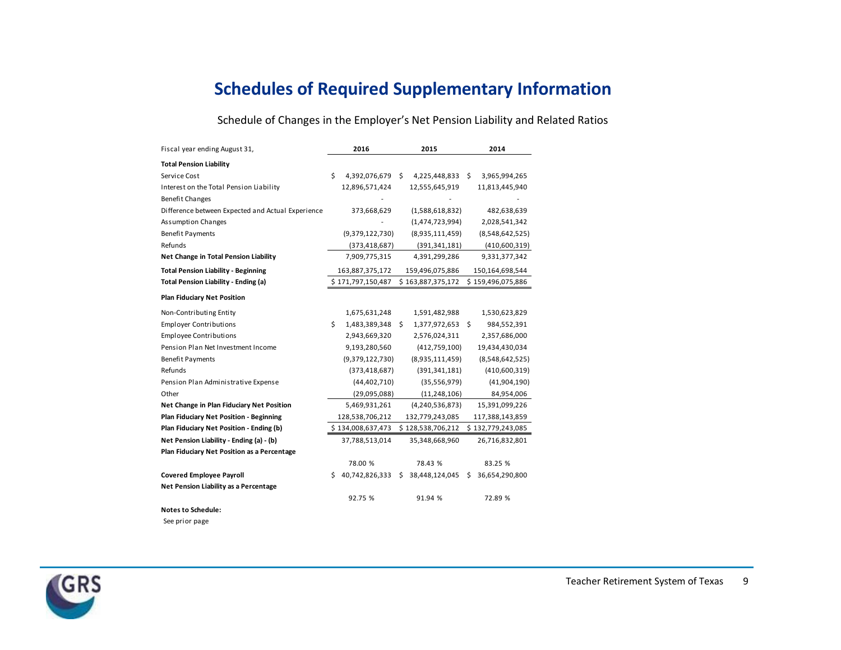### **Schedules of Required Supplementary Information**

Schedule of Changes in the Employer's Net Pension Liability and Related Ratios

| Fiscal year ending August 31,                     |    | 2016              | 2015 |                    |     | 2014              |
|---------------------------------------------------|----|-------------------|------|--------------------|-----|-------------------|
| <b>Total Pension Liability</b>                    |    |                   |      |                    |     |                   |
| Service Cost                                      | \$ | 4,392,076,679 \$  |      | 4,225,448,833      | \$  | 3,965,994,265     |
| Interest on the Total Pension Liability           |    | 12,896,571,424    |      | 12,555,645,919     |     | 11,813,445,940    |
| <b>Benefit Changes</b>                            |    |                   |      |                    |     |                   |
| Difference between Expected and Actual Experience |    | 373,668,629       |      | (1,588,618,832)    |     | 482,638,639       |
| <b>Assumption Changes</b>                         |    |                   |      | (1,474,723,994)    |     | 2,028,541,342     |
| <b>Benefit Payments</b>                           |    | (9,379,122,730)   |      | (8,935,111,459)    |     | (8,548,642,525)   |
| Refunds                                           |    | (373, 418, 687)   |      | (391, 341, 181)    |     | (410,600,319)     |
| Net Change in Total Pension Liability             |    | 7,909,775,315     |      | 4,391,299,286      |     | 9,331,377,342     |
| <b>Total Pension Liability - Beginning</b>        |    | 163,887,375,172   |      | 159,496,075,886    |     | 150,164,698,544   |
| <b>Total Pension Liability - Ending (a)</b>       |    | \$171,797,150,487 |      | \$163,887,375,172  |     | \$159,496,075,886 |
| <b>Plan Fiduciary Net Position</b>                |    |                   |      |                    |     |                   |
| Non-Contributing Entity                           |    | 1,675,631,248     |      | 1,591,482,988      |     | 1,530,623,829     |
| <b>Employer Contributions</b>                     | \$ | 1,483,389,348     | -S   | 1,377,972,653      | -\$ | 984,552,391       |
| <b>Employee Contributions</b>                     |    | 2,943,669,320     |      | 2,576,024,311      |     | 2,357,686,000     |
| Pension Plan Net Investment Income                |    | 9,193,280,560     |      | (412,759,100)      |     | 19,434,430,034    |
| <b>Benefit Payments</b>                           |    | (9,379,122,730)   |      | (8,935,111,459)    |     | (8,548,642,525)   |
| Refunds                                           |    | (373, 418, 687)   |      | (391, 341, 181)    |     | (410,600,319)     |
| Pension Plan Administrative Expense               |    | (44, 402, 710)    |      | (35, 556, 979)     |     | (41,904,190)      |
| Other                                             |    | (29,095,088)      |      | (11, 248, 106)     |     | 84,954,006        |
| Net Change in Plan Fiduciary Net Position         |    | 5,469,931,261     |      | (4, 240, 536, 873) |     | 15,391,099,226    |
| Plan Fiduciary Net Position - Beginning           |    | 128,538,706,212   |      | 132,779,243,085    |     | 117,388,143,859   |
| Plan Fiduciary Net Position - Ending (b)          |    | \$134,008,637,473 |      | \$128,538,706,212  |     | \$132,779,243,085 |
| Net Pension Liability - Ending (a) - (b)          |    | 37,788,513,014    |      | 35,348,668,960     |     | 26,716,832,801    |
| Plan Fiduciary Net Position as a Percentage       |    |                   |      |                    |     |                   |
|                                                   |    | 78.00 %           |      | 78.43 %            |     | 83.25 %           |
| <b>Covered Employee Payroll</b>                   | Ś. | 40,742,826,333    | Ś.   | 38,448,124,045     | S.  | 36,654,290,800    |
| Net Pension Liability as a Percentage             |    |                   |      |                    |     |                   |
|                                                   |    | 92.75 %           |      | 91.94 %            |     | 72.89 %           |
| <b>Notes to Schedule:</b>                         |    |                   |      |                    |     |                   |

See prior page

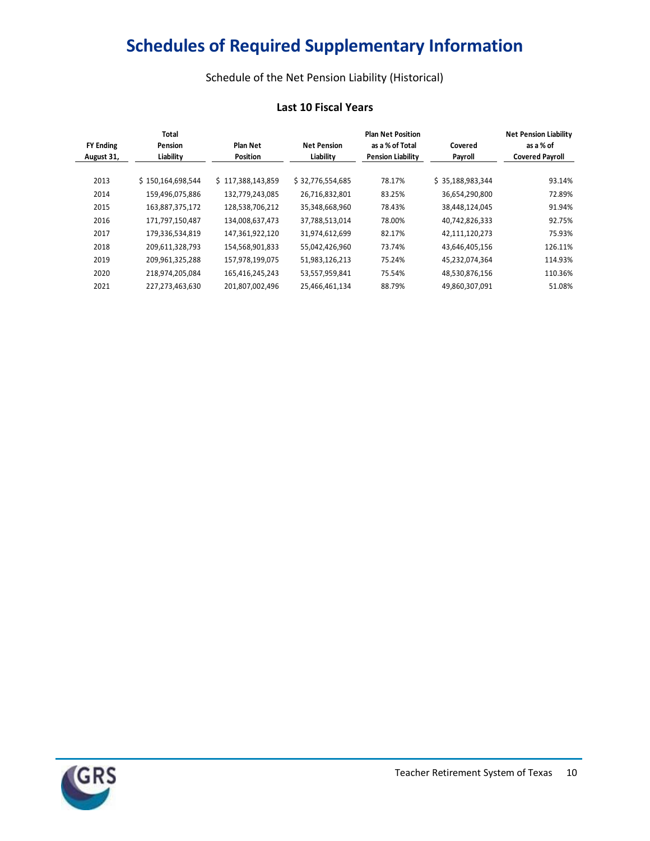# **Schedules of Required Supplementary Information**

Schedule of the Net Pension Liability (Historical)

#### **Last 10 Fiscal Years**

| <b>Last 10 Fiscal Years</b>    |                                      |                             |                                 |                                                                         |                    |                                                                     |  |
|--------------------------------|--------------------------------------|-----------------------------|---------------------------------|-------------------------------------------------------------------------|--------------------|---------------------------------------------------------------------|--|
| <b>FY Ending</b><br>August 31, | <b>Total</b><br>Pension<br>Liability | Plan Net<br><b>Position</b> | <b>Net Pension</b><br>Liability | <b>Plan Net Position</b><br>as a % of Total<br><b>Pension Liability</b> | Covered<br>Payroll | <b>Net Pension Liability</b><br>as a % of<br><b>Covered Payroll</b> |  |
| 2013                           | \$150,164,698,544                    | \$117,388,143,859           | \$32,776,554,685                | 78.17%                                                                  | \$35,188,983,344   | 93.14%                                                              |  |
| 2014                           | 159,496,075,886                      | 132,779,243,085             | 26,716,832,801                  | 83.25%                                                                  | 36,654,290,800     | 72.89%                                                              |  |
| 2015                           | 163,887,375,172                      | 128,538,706,212             | 35,348,668,960                  | 78.43%                                                                  | 38,448,124,045     | 91.94%                                                              |  |
| 2016                           | 171,797,150,487                      | 134,008,637,473             | 37,788,513,014                  | 78.00%                                                                  | 40,742,826,333     | 92.75%                                                              |  |
| 2017                           | 179,336,534,819                      | 147,361,922,120             | 31,974,612,699                  | 82.17%                                                                  | 42,111,120,273     | 75.93%                                                              |  |
| 2018                           | 209,611,328,793                      | 154,568,901,833             | 55,042,426,960                  | 73.74%                                                                  | 43,646,405,156     | 126.11%                                                             |  |
| 2019                           | 209,961,325,288                      | 157,978,199,075             | 51,983,126,213                  | 75.24%                                                                  | 45,232,074,364     | 114.93%                                                             |  |
| 2020                           | 218,974,205,084                      | 165,416,245,243             | 53,557,959,841                  | 75.54%                                                                  | 48,530,876,156     | 110.36%                                                             |  |
| 2021                           | 227,273,463,630                      | 201,807,002,496             | 25,466,461,134                  | 88.79%                                                                  | 49,860,307,091     | 51.08%                                                              |  |

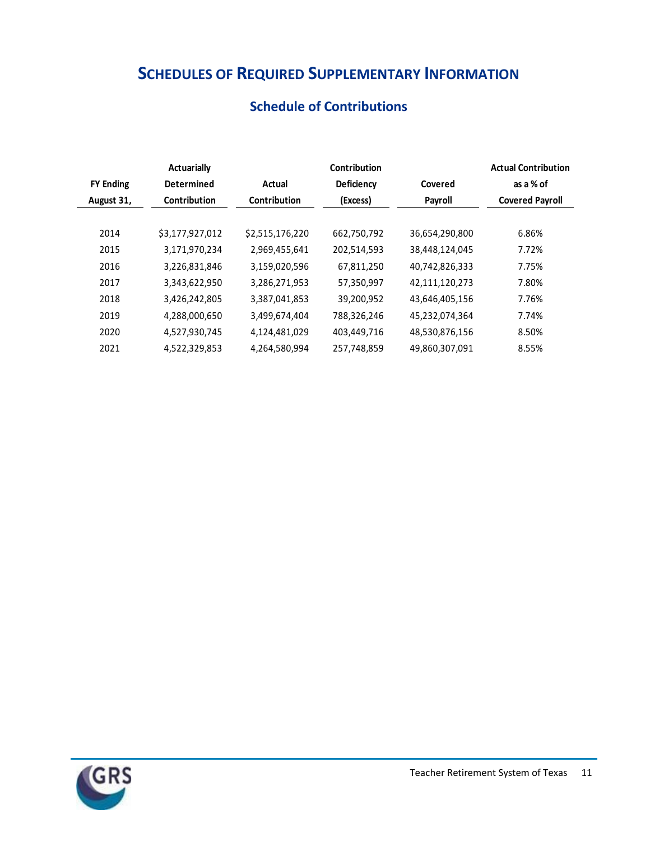## **SCHEDULES OF REQUIRED SUPPLEMENTARY INFORMATION**

| <b>Schedule of Contributions</b> |  |  |
|----------------------------------|--|--|
|                                  |  |  |

|                  | <b>Actuarially</b> |                     | Contribution        |                | <b>Actual Contribution</b> |  |                        |
|------------------|--------------------|---------------------|---------------------|----------------|----------------------------|--|------------------------|
| <b>FY Ending</b> | <b>Determined</b>  | Actual              | Deficiency          | Covered        | as a % of                  |  |                        |
| August 31,       | Contribution       | <b>Contribution</b> | (Excess)<br>Payroll |                |                            |  | <b>Covered Payroll</b> |
|                  |                    |                     |                     |                |                            |  |                        |
| 2014             | \$3,177,927,012    | \$2,515,176,220     | 662,750,792         | 36,654,290,800 | 6.86%                      |  |                        |
| 2015             | 3,171,970,234      | 2,969,455,641       | 202,514,593         | 38,448,124,045 | 7.72%                      |  |                        |
| 2016             | 3,226,831,846      | 3,159,020,596       | 67,811,250          | 40,742,826,333 | 7.75%                      |  |                        |
| 2017             | 3,343,622,950      | 3,286,271,953       | 57,350,997          | 42,111,120,273 | 7.80%                      |  |                        |
| 2018             | 3,426,242,805      | 3,387,041,853       | 39,200,952          | 43,646,405,156 | 7.76%                      |  |                        |
| 2019             | 4,288,000,650      | 3,499,674,404       | 788,326,246         | 45,232,074,364 | 7.74%                      |  |                        |
| 2020             | 4,527,930,745      | 4,124,481,029       | 403,449,716         | 48,530,876,156 | 8.50%                      |  |                        |
| 2021             | 4,522,329,853      | 4,264,580,994       | 257,748,859         | 49.860.307.091 | 8.55%                      |  |                        |

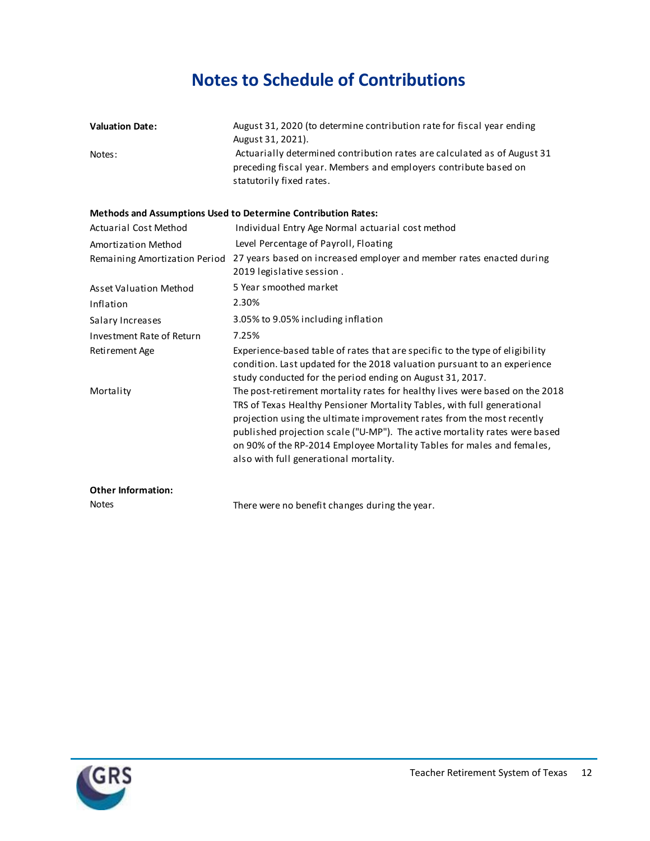### **Notes to Schedule of Contributions**

| <b>Valuation Date:</b> | August 31, 2020 (to determine contribution rate for fiscal year ending<br>August 31, 2021).                                                                              |
|------------------------|--------------------------------------------------------------------------------------------------------------------------------------------------------------------------|
| Notes:                 | Actuarially determined contribution rates are calculated as of August 31<br>preceding fiscal year. Members and employers contribute based on<br>statutorily fixed rates. |

#### **Methods and Assumptions Used to Determine Contribution Rates:**

| <b>Actuarial Cost Method</b>     | Individual Entry Age Normal actuarial cost method                                                                                                                                                                                                                                                                                                                                                                                   |
|----------------------------------|-------------------------------------------------------------------------------------------------------------------------------------------------------------------------------------------------------------------------------------------------------------------------------------------------------------------------------------------------------------------------------------------------------------------------------------|
| Amortization Method              | Level Percentage of Payroll, Floating                                                                                                                                                                                                                                                                                                                                                                                               |
| Remaining Amortization Period    | 27 years based on increased employer and member rates enacted during<br>2019 legislative session.                                                                                                                                                                                                                                                                                                                                   |
| Asset Valuation Method           | 5 Year smoothed market                                                                                                                                                                                                                                                                                                                                                                                                              |
| Inflation                        | 2.30%                                                                                                                                                                                                                                                                                                                                                                                                                               |
| Salary Increases                 | 3.05% to 9.05% including inflation                                                                                                                                                                                                                                                                                                                                                                                                  |
| <b>Investment Rate of Return</b> | 7.25%                                                                                                                                                                                                                                                                                                                                                                                                                               |
| Retirement Age                   | Experience-based table of rates that are specific to the type of eligibility<br>condition. Last updated for the 2018 valuation pursuant to an experience<br>study conducted for the period ending on August 31, 2017.                                                                                                                                                                                                               |
| Mortality                        | The post-retirement mortality rates for healthy lives were based on the 2018<br>TRS of Texas Healthy Pensioner Mortality Tables, with full generational<br>projection using the ultimate improvement rates from the most recently<br>published projection scale ("U-MP"). The active mortality rates were based<br>on 90% of the RP-2014 Employee Mortality Tables for males and females,<br>also with full generational mortality. |
| <b>Other Information:</b>        |                                                                                                                                                                                                                                                                                                                                                                                                                                     |

| <b>Notes</b> | There were no benefit changes during the year. |
|--------------|------------------------------------------------|
|              |                                                |

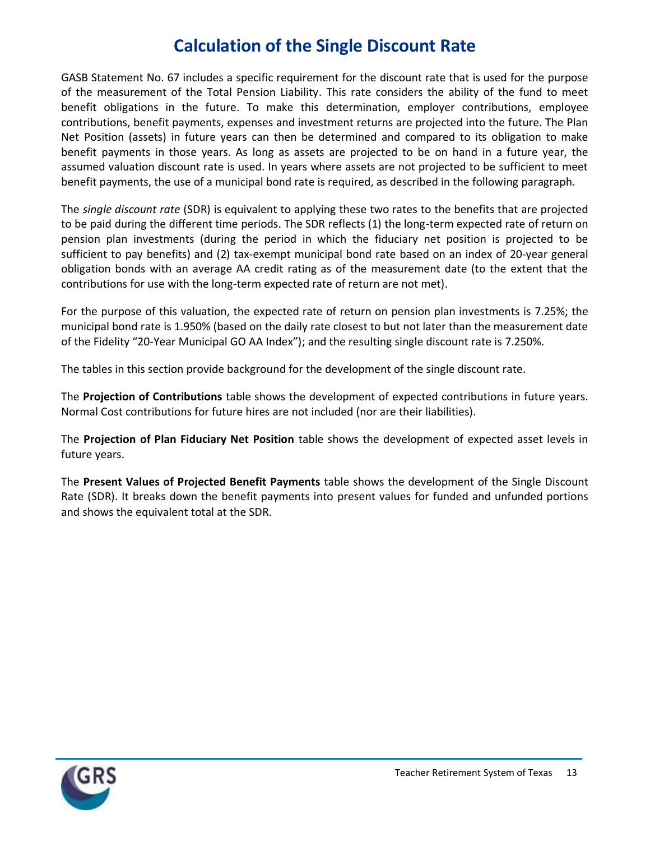### **Calculation of the Single Discount Rate**

GASB Statement No. 67 includes a specific requirement for the discount rate that is used for the purpose of the measurement of the Total Pension Liability. This rate considers the ability of the fund to meet benefit obligations in the future. To make this determination, employer contributions, employee contributions, benefit payments, expenses and investment returns are projected into the future. The Plan Net Position (assets) in future years can then be determined and compared to its obligation to make benefit payments in those years. As long as assets are projected to be on hand in a future year, the assumed valuation discount rate is used. In years where assets are not projected to be sufficient to meet benefit payments, the use of a municipal bond rate is required, as described in the following paragraph.

The *single discount rate* (SDR) is equivalent to applying these two rates to the benefits that are projected to be paid during the different time periods. The SDR reflects (1) the long-term expected rate of return on pension plan investments (during the period in which the fiduciary net position is projected to be sufficient to pay benefits) and (2) tax-exempt municipal bond rate based on an index of 20-year general obligation bonds with an average AA credit rating as of the measurement date (to the extent that the contributions for use with the long-term expected rate of return are not met).

For the purpose of this valuation, the expected rate of return on pension plan investments is 7.25%; the municipal bond rate is 1.950% (based on the daily rate closest to but not later than the measurement date of the Fidelity "20-Year Municipal GO AA Index"); and the resulting single discount rate is 7.250%.

The tables in this section provide background for the development of the single discount rate.

The **Projection of Contributions** table shows the development of expected contributions in future years. Normal Cost contributions for future hires are not included (nor are their liabilities).

The **Projection of Plan Fiduciary Net Position** table shows the development of expected asset levels in future years.

The **Present Values of Projected Benefit Payments** table shows the development of the Single Discount Rate (SDR). It breaks down the benefit payments into present values for funded and unfunded portions and shows the equivalent total at the SDR.

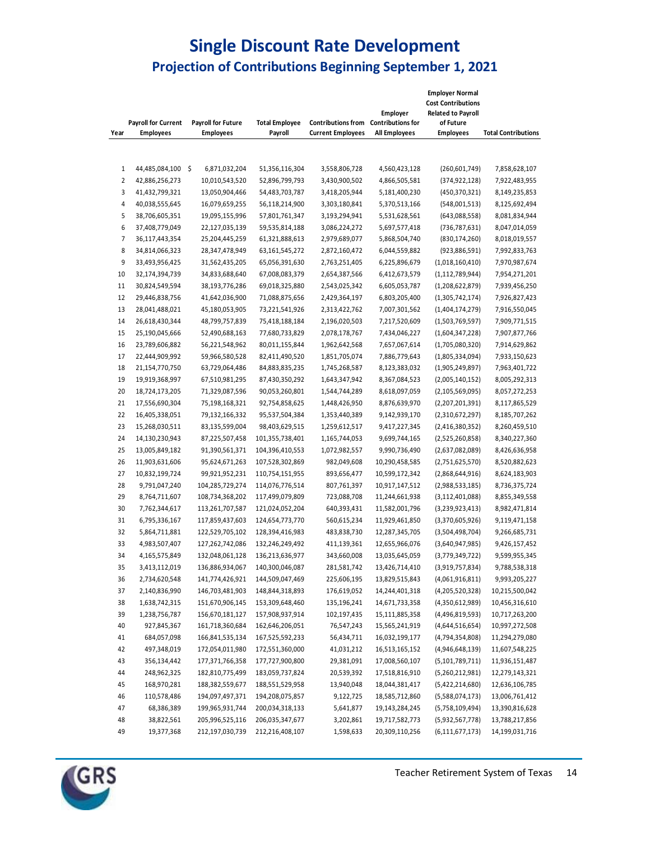#### **Single Discount Rate Development Projection of Contributions Beginning September 1, 2021**

| Year             | <b>Payroll for Current</b><br><b>Employees</b> | Payroll for Future<br><b>Employees</b> | <b>Total Employee</b><br>Payroll | Contributions from Contributions for<br><b>Current Employees</b> | Employer<br>All Employees | <b>Employer Normal</b><br><b>Cost Contributions</b><br><b>Related to Payroll</b><br>of Future<br><b>Employees</b> | <b>Total Contributions</b> |
|------------------|------------------------------------------------|----------------------------------------|----------------------------------|------------------------------------------------------------------|---------------------------|-------------------------------------------------------------------------------------------------------------------|----------------------------|
|                  |                                                |                                        |                                  |                                                                  |                           |                                                                                                                   |                            |
| 1                | 44,485,084,100 \$                              | 6,871,032,204                          | 51,356,116,304                   | 3,558,806,728                                                    | 4,560,423,128             | (260, 601, 749)                                                                                                   | 7,858,628,107              |
| $\overline{2}$   | 42,886,256,273                                 | 10,010,543,520                         | 52,896,799,793                   | 3,430,900,502                                                    | 4,866,505,581             | (374, 922, 128)                                                                                                   | 7,922,483,955              |
| 3                | 41,432,799,321                                 | 13,050,904,466                         | 54,483,703,787                   | 3,418,205,944                                                    | 5,181,400,230             | (450, 370, 321)                                                                                                   | 8,149,235,853              |
| 4                | 40,038,555,645                                 | 16,079,659,255                         | 56,118,214,900                   | 3,303,180,841                                                    | 5,370,513,166             | (548,001,513)                                                                                                     | 8,125,692,494              |
| 5                | 38,706,605,351                                 | 19,095,155,996                         | 57,801,761,347                   | 3,193,294,941                                                    | 5,531,628,561             | (643,088,558)                                                                                                     | 8,081,834,944              |
| $\boldsymbol{6}$ | 37,408,779,049                                 | 22,127,035,139                         | 59,535,814,188                   | 3,086,224,272                                                    | 5,697,577,418             | (736, 787, 631)                                                                                                   | 8,047,014,059              |
| 7                | 36,117,443,354                                 | 25,204,445,259                         | 61,321,888,613                   | 2,979,689,077                                                    | 5,868,504,740             | (830, 174, 260)                                                                                                   | 8,018,019,557              |
| 8                | 34,814,066,323                                 | 28,347,478,949                         | 63,161,545,272                   | 2,872,160,472                                                    | 6,044,559,882             | (923,886,591)                                                                                                     | 7,992,833,763              |
| 9                | 33,493,956,425                                 | 31,562,435,205                         | 65,056,391,630                   | 2,763,251,405                                                    | 6,225,896,679             | (1,018,160,410)                                                                                                   | 7,970,987,674              |
| 10               | 32,174,394,739                                 | 34,833,688,640                         | 67,008,083,379                   | 2,654,387,566                                                    | 6,412,673,579             | (1, 112, 789, 944)                                                                                                | 7,954,271,201              |
| 11               | 30,824,549,594                                 | 38,193,776,286                         | 69,018,325,880                   | 2,543,025,342                                                    | 6,605,053,787             | (1, 208, 622, 879)                                                                                                | 7,939,456,250              |
| 12               | 29,446,838,756                                 | 41,642,036,900                         | 71,088,875,656                   | 2,429,364,197                                                    | 6,803,205,400             | (1,305,742,174)                                                                                                   | 7,926,827,423              |
| 13               | 28,041,488,021                                 | 45,180,053,905                         | 73,221,541,926                   | 2,313,422,762                                                    | 7,007,301,562             | (1,404,174,279)                                                                                                   | 7,916,550,045              |
| 14               | 26,618,430,344                                 | 48,799,757,839                         | 75,418,188,184                   | 2,196,020,503                                                    | 7,217,520,609             | (1,503,769,597)                                                                                                   | 7,909,771,515              |
| 15               | 25,190,045,666                                 | 52,490,688,163                         | 77,680,733,829                   | 2,078,178,767                                                    | 7,434,046,227             | (1,604,347,228)                                                                                                   | 7,907,877,766              |
| 16               | 23,789,606,882                                 | 56,221,548,962                         | 80,011,155,844                   | 1,962,642,568                                                    | 7,657,067,614             | (1,705,080,320)                                                                                                   | 7,914,629,862              |
| 17               | 22,444,909,992                                 | 59,966,580,528                         | 82,411,490,520                   | 1,851,705,074                                                    | 7,886,779,643             | (1,805,334,094)                                                                                                   | 7,933,150,623              |
| 18               | 21,154,770,750                                 | 63,729,064,486                         | 84,883,835,235                   | 1,745,268,587                                                    | 8,123,383,032             | (1,905,249,897)                                                                                                   | 7,963,401,722              |
| 19               | 19,919,368,997                                 | 67,510,981,295                         | 87,430,350,292                   | 1,643,347,942                                                    | 8,367,084,523             | (2,005,140,152)                                                                                                   | 8,005,292,313              |
| 20               | 18,724,173,205                                 | 71,329,087,596                         | 90,053,260,801                   | 1,544,744,289                                                    | 8,618,097,059             | (2, 105, 569, 095)                                                                                                | 8,057,272,253              |
| 21               | 17,556,690,304                                 | 75,198,168,321                         | 92,754,858,625                   | 1,448,426,950                                                    | 8,876,639,970             | (2,207,201,391)                                                                                                   | 8,117,865,529              |
| 22               | 16,405,338,051                                 | 79,132,166,332                         | 95,537,504,384                   | 1,353,440,389                                                    | 9,142,939,170             | (2,310,672,297)                                                                                                   | 8,185,707,262              |
| 23               | 15,268,030,511                                 | 83,135,599,004                         | 98,403,629,515                   | 1,259,612,517                                                    | 9,417,227,345             | (2,416,380,352)                                                                                                   | 8,260,459,510              |
| 24               | 14,130,230,943                                 | 87,225,507,458                         | 101,355,738,401                  | 1,165,744,053                                                    | 9,699,744,165             | (2,525,260,858)                                                                                                   | 8,340,227,360              |
| 25               | 13,005,849,182                                 | 91,390,561,371                         | 104,396,410,553                  | 1,072,982,557                                                    | 9,990,736,490             | (2,637,082,089)                                                                                                   | 8,426,636,958              |
| 26               | 11,903,631,606                                 | 95,624,671,263                         | 107,528,302,869                  | 982,049,608                                                      | 10,290,458,585            | (2,751,625,570)                                                                                                   | 8,520,882,623              |
| 27               | 10,832,199,724                                 | 99,921,952,231                         | 110,754,151,955                  | 893,656,477                                                      | 10,599,172,342            | (2,868,644,916)                                                                                                   | 8,624,183,903              |
| 28               | 9,791,047,240                                  | 104,285,729,274                        | 114,076,776,514                  | 807,761,397                                                      | 10,917,147,512            | (2,988,533,185)                                                                                                   | 8,736,375,724              |
| 29               | 8,764,711,607                                  | 108,734,368,202                        | 117,499,079,809                  | 723,088,708                                                      | 11,244,661,938            | (3, 112, 401, 088)                                                                                                | 8,855,349,558              |
| 30               | 7,762,344,617                                  | 113,261,707,587                        | 121,024,052,204                  | 640,393,431                                                      | 11,582,001,796            | (3,239,923,413)                                                                                                   | 8,982,471,814              |
| 31               | 6,795,336,167                                  | 117,859,437,603                        | 124,654,773,770                  | 560,615,234                                                      | 11,929,461,850            | (3,370,605,926)                                                                                                   | 9,119,471,158              |
| 32               | 5,864,711,881                                  | 122,529,705,102                        | 128,394,416,983                  | 483,838,730                                                      | 12,287,345,705            | (3,504,498,704)                                                                                                   | 9,266,685,731              |
| 33               | 4,983,507,407                                  | 127,262,742,086                        | 132,246,249,492                  | 411,139,361                                                      | 12,655,966,076            | (3,640,947,985)                                                                                                   | 9,426,157,452              |
| 34               | 4,165,575,849                                  | 132,048,061,128                        | 136,213,636,977                  | 343,660,008                                                      | 13,035,645,059            | (3,779,349,722)                                                                                                   | 9,599,955,345              |
| 35               | 3,413,112,019                                  | 136,886,934,067                        | 140,300,046,087                  | 281,581,742                                                      | 13,426,714,410            | (3,919,757,834)                                                                                                   | 9,788,538,318              |
| 36               | 2,734,620,548                                  | 141,774,426,921                        | 144,509,047,469                  | 225,606,195                                                      | 13,829,515,843            | (4,061,916,811)                                                                                                   | 9,993,205,227              |
| 37               | 2,140,836,990                                  | 146,703,481,903                        | 148,844,318,893                  | 176,619,052                                                      | 14,244,401,318            | (4,205,520,328)                                                                                                   | 10,215,500,042             |
| 38               |                                                | 151,670,906,145                        |                                  |                                                                  | 14,671,733,358            |                                                                                                                   | 10,456,316,610             |
| 39               | 1,638,742,315                                  |                                        | 153,309,648,460                  | 135,196,241                                                      |                           | (4,350,612,989)<br>(4,496,819,593)                                                                                | 10,717,263,200             |
|                  | 1,238,756,787                                  | 156,670,181,127                        | 157,908,937,914                  | 102,197,435                                                      | 15,111,885,358            |                                                                                                                   |                            |
| 40               | 927,845,367                                    | 161,718,360,684                        | 162,646,206,051                  | 76,547,243                                                       | 15,565,241,919            | (4,644,516,654)                                                                                                   | 10,997,272,508             |
| 41               | 684,057,098                                    | 166,841,535,134                        | 167,525,592,233                  | 56,434,711                                                       | 16,032,199,177            | (4,794,354,808)                                                                                                   | 11,294,279,080             |
| 42               | 497,348,019                                    | 172,054,011,980                        | 172,551,360,000                  | 41,031,212                                                       | 16,513,165,152            | (4,946,648,139)                                                                                                   | 11,607,548,225             |
| 43               | 356,134,442                                    | 177,371,766,358                        | 177,727,900,800                  | 29,381,091                                                       | 17,008,560,107            | (5, 101, 789, 711)                                                                                                | 11,936,151,487             |
| 44               | 248,962,325                                    | 182,810,775,499                        | 183,059,737,824                  | 20,539,392                                                       | 17,518,816,910            | (5,260,212,981)                                                                                                   | 12,279,143,321             |
| 45               | 168,970,281                                    | 188,382,559,677                        | 188,551,529,958                  | 13,940,048                                                       | 18,044,381,417            | (5,422,214,680)                                                                                                   | 12,636,106,785             |
| 46               | 110,578,486                                    | 194,097,497,371                        | 194,208,075,857                  | 9,122,725                                                        | 18,585,712,860            | (5,588,074,173)                                                                                                   | 13,006,761,412             |
| 47               | 68,386,389                                     | 199,965,931,744                        | 200,034,318,133                  | 5,641,877                                                        | 19,143,284,245            | (5,758,109,494)                                                                                                   | 13,390,816,628             |
| 48               | 38,822,561                                     | 205,996,525,116                        | 206,035,347,677                  | 3,202,861                                                        | 19,717,582,773            | (5,932,567,778)                                                                                                   | 13,788,217,856             |
| 49               | 19,377,368                                     | 212,197,030,739                        | 212,216,408,107                  | 1,598,633                                                        | 20,309,110,256            | (6, 111, 677, 173)                                                                                                | 14,199,031,716             |

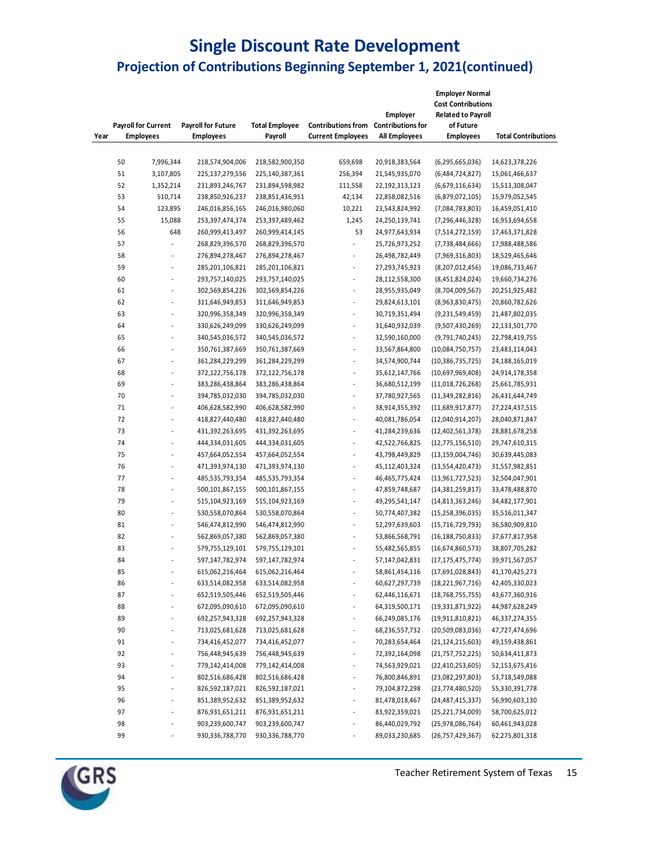#### **Single Discount Rate Development Projection of Contributions Beginning September 1, 2021(continued)**

| <b>Payroll for Current</b> |                  | <b>Payroll for Future</b> | <b>Total Employee</b> | <b>Contributions from</b> | Employer<br><b>Contributions for</b> | <b>Employer Normal</b><br><b>Cost Contributions</b><br><b>Related to Payroll</b><br>of Future |                     |                            |
|----------------------------|------------------|---------------------------|-----------------------|---------------------------|--------------------------------------|-----------------------------------------------------------------------------------------------|---------------------|----------------------------|
| Year                       | <b>Employees</b> |                           | <b>Employees</b>      | Payroll                   | <b>Current Employees</b>             | All Employees                                                                                 | <b>Employees</b>    | <b>Total Contributions</b> |
|                            |                  |                           |                       |                           |                                      |                                                                                               |                     |                            |
|                            | 50               | 7,996,344                 | 218,574,904,006       | 218,582,900,350           | 659,698                              | 20,918,383,564                                                                                | (6, 295, 665, 036)  | 14,623,378,226             |
|                            | 51               | 3,107,805                 | 225,137,279,556       | 225,140,387,361           | 256,394                              | 21,545,935,070                                                                                | (6,484,724,827)     | 15,061,466,637             |
|                            | 52               | 1,352,214                 | 231,893,246,767       | 231,894,598,982           | 111,558                              | 22,192,313,123                                                                                | (6,679,116,634)     | 15,513,308,047             |
|                            | 53               | 510,714                   | 238,850,926,237       | 238,851,436,951           | 42,134                               | 22,858,082,516                                                                                | (6,879,072,105)     | 15,979,052,545             |
|                            | 54               | 123,895                   | 246,016,856,165       | 246,016,980,060           | 10,221                               | 23,543,824,992                                                                                | (7,084,783,803)     | 16,459,051,410             |
|                            | 55               | 15,088                    | 253,397,474,374       | 253,397,489,462           | 1,245                                | 24,250,139,741                                                                                | (7, 296, 446, 328)  | 16,953,694,658             |
|                            | 56               | 648                       | 260,999,413,497       | 260,999,414,145           | 53                                   | 24,977,643,934                                                                                | (7,514,272,159)     | 17,463,371,828             |
|                            | 57               | ÷,                        | 268,829,396,570       | 268,829,396,570           | ÷,                                   | 25,726,973,252                                                                                | (7,738,484,666)     | 17,988,488,586             |
|                            | 58               | $\overline{\phantom{a}}$  | 276,894,278,467       | 276,894,278,467           | $\overline{a}$                       | 26,498,782,449                                                                                | (7,969,316,803)     | 18,529,465,646             |
|                            | 59               | $\overline{\phantom{a}}$  | 285,201,106,821       | 285,201,106,821           | $\overline{a}$                       | 27,293,745,923                                                                                | (8,207,012,456)     | 19,086,733,467             |
|                            | 60               | $\frac{1}{2}$             | 293,757,140,025       | 293,757,140,025           | ÷,                                   | 28,112,558,300                                                                                | (8,451,824,024)     | 19,660,734,276             |
|                            | 61               | $\frac{1}{2}$             | 302,569,854,226       | 302,569,854,226           | $\overline{a}$                       | 28,955,935,049                                                                                | (8,704,009,567)     | 20,251,925,482             |
|                            | 62               | $\overline{\phantom{a}}$  | 311,646,949,853       | 311,646,949,853           | ÷,                                   | 29,824,613,101                                                                                | (8,963,830,475)     | 20,860,782,626             |
|                            | 63               | $\frac{1}{2}$             | 320,996,358,349       | 320,996,358,349           | L                                    | 30,719,351,494                                                                                | (9,231,549,459)     | 21,487,802,035             |
|                            | 64               | l,                        | 330,626,249,099       | 330,626,249,099           | L,                                   | 31,640,932,039                                                                                | (9,507,430,269)     | 22,133,501,770             |
|                            | 65               | $\overline{\phantom{a}}$  | 340,545,036,572       | 340,545,036,572           | $\overline{a}$                       | 32,590,160,000                                                                                | (9,791,740,245)     | 22,798,419,755             |
|                            | 66               | $\frac{1}{2}$             | 350,761,387,669       | 350,761,387,669           | L,                                   | 33,567,864,800                                                                                | (10,084,750,757)    | 23,483,114,043             |
|                            | 67               | $\overline{a}$            | 361,284,229,299       | 361,284,229,299           | $\overline{\phantom{a}}$             | 34,574,900,744                                                                                | (10, 386, 735, 725) | 24,188,165,019             |
|                            | 68               | $\overline{\phantom{a}}$  | 372,122,756,178       | 372,122,756,178           | ÷,                                   | 35,612,147,766                                                                                | (10,697,969,408)    | 24,914,178,358             |
|                            | 69               | $\overline{\phantom{a}}$  | 383,286,438,864       | 383,286,438,864           | ÷,                                   | 36,680,512,199                                                                                | (11,018,726,268)    | 25,661,785,931             |
|                            | 70               | ÷,                        | 394,785,032,030       | 394,785,032,030           | L,                                   | 37,780,927,565                                                                                | (11,349,282,816)    | 26,431,644,749             |
|                            | 71               | $\overline{\phantom{a}}$  | 406,628,582,990       | 406,628,582,990           | $\overline{a}$                       | 38,914,355,392                                                                                | (11,689,917,877)    | 27,224,437,515             |
|                            | 72               | $\overline{\phantom{a}}$  | 418,827,440,480       | 418,827,440,480           | $\overline{a}$                       | 40,081,786,054                                                                                | (12,040,914,207)    | 28,040,871,847             |
|                            | 73               | l,                        | 431,392,263,695       | 431,392,263,695           | L,                                   | 41,284,239,636                                                                                | (12,402,561,378)    | 28,881,678,258             |
|                            | 74               | L,                        | 444,334,031,605       | 444,334,031,605           | Ĭ.                                   | 42,522,766,825                                                                                | (12,775,156,510)    | 29,747,610,315             |
|                            | 75               | $\overline{\phantom{a}}$  | 457,664,052,554       | 457,664,052,554           | ÷,                                   | 43,798,449,829                                                                                | (13, 159, 004, 746) | 30,639,445,083             |
|                            | 76               | l,                        | 471,393,974,130       | 471,393,974,130           | L,                                   | 45,112,403,324                                                                                | (13,554,420,473)    | 31,557,982,851             |
|                            | 77               | $\overline{\phantom{a}}$  | 485,535,793,354       | 485,535,793,354           | ÷,                                   | 46,465,775,424                                                                                | (13,961,727,523)    | 32,504,047,901             |
|                            | 78               | $\overline{\phantom{a}}$  | 500,101,867,155       | 500,101,867,155           | $\overline{\phantom{a}}$             | 47,859,748,687                                                                                | (14, 381, 259, 817) | 33,478,488,870             |
|                            | 79               | $\overline{\phantom{a}}$  | 515,104,923,169       | 515,104,923,169           | $\overline{a}$                       | 49,295,541,147                                                                                | (14, 813, 363, 246) | 34,482,177,901             |
|                            | 80               | L,                        | 530,558,070,864       | 530,558,070,864           | ÷,                                   | 50,774,407,382                                                                                | (15, 258, 396, 035) | 35,516,011,347             |
|                            | 81               | $\overline{\phantom{a}}$  | 546,474,812,990       | 546,474,812,990           | ÷,                                   | 52,297,639,603                                                                                | (15,716,729,793)    | 36,580,909,810             |
|                            | 82               | L,                        | 562,869,057,380       | 562,869,057,380           | ÷,                                   | 53,866,568,791                                                                                | (16, 188, 750, 833) | 37,677,817,958             |
|                            | 83               | L,                        | 579,755,129,101       | 579,755,129,101           | L,                                   | 55,482,565,855                                                                                | (16,674,860,573)    | 38,807,705,282             |
|                            | 84               |                           | 597,147,782,974       | 597,147,782,974           |                                      | 57,147,042,831                                                                                | (17, 175, 475, 774) | 39,971,567,057             |
|                            | 85               |                           | 615,062,216,464       | 615,062,216,464           | $\overline{\phantom{m}}$             | 58,861,454,116                                                                                | (17,691,028,843)    | 41,170,425,273             |
|                            | 86               |                           | 633,514,082,958       | 633,514,082,958           | $\overline{\phantom{a}}$             | 60,627,297,739                                                                                | (18, 221, 967, 716) | 42,405,330,023             |
|                            | 87               | $\overline{\phantom{a}}$  | 652,519,505,446       | 652,519,505,446           | $\overline{\phantom{a}}$             | 62,446,116,671                                                                                | (18, 768, 755, 755) | 43,677,360,916             |
|                            | 88               | $\overline{\phantom{a}}$  | 672,095,090,610       | 672,095,090,610           | $\overline{\phantom{a}}$             | 64,319,500,171                                                                                | (19,331,871,922)    | 44,987,628,249             |
|                            | 89               | $\overline{\phantom{a}}$  | 692,257,943,328       | 692,257,943,328           | $\overline{\phantom{a}}$             | 66,249,085,176                                                                                | (19,911,810,821)    | 46,337,274,355             |
|                            | 90               | $\overline{\phantom{a}}$  | 713,025,681,628       | 713,025,681,628           | $\overline{\phantom{a}}$             | 68,236,557,732                                                                                | (20,509,083,036)    | 47,727,474,696             |
|                            | 91               | ٠                         | 734,416,452,077       | 734,416,452,077           | ٠                                    | 70,283,654,464                                                                                | (21, 124, 215, 603) | 49,159,438,861             |
|                            | 92               | $\overline{\phantom{a}}$  | 756,448,945,639       | 756,448,945,639           | $\overline{\phantom{a}}$             | 72,392,164,098                                                                                | (21,757,752,225)    | 50,634,411,873             |
|                            | 93               | $\overline{\phantom{a}}$  | 779,142,414,008       | 779,142,414,008           | $\overline{\phantom{a}}$             | 74,563,929,021                                                                                | (22, 410, 253, 605) | 52,153,675,416             |
|                            | 94               | $\overline{\phantom{a}}$  | 802,516,686,428       | 802,516,686,428           | $\overline{\phantom{a}}$             | 76,800,846,891                                                                                | (23,082,297,803)    | 53,718,549,088             |
|                            | 95               | $\overline{\phantom{a}}$  | 826,592,187,021       | 826,592,187,021           | $\overline{\phantom{a}}$             | 79,104,872,298                                                                                | (23, 774, 480, 520) | 55,330,391,778             |
|                            | 96               | $\overline{\phantom{a}}$  | 851,389,952,632       | 851,389,952,632           | $\overline{\phantom{a}}$             | 81,478,018,467                                                                                | (24, 487, 415, 337) | 56,990,603,130             |
|                            | 97               | $\overline{\phantom{a}}$  | 876,931,651,211       | 876,931,651,211           | $\overline{\phantom{a}}$             | 83,922,359,021                                                                                | (25, 221, 734, 009) | 58,700,625,012             |
|                            | 98               | $\overline{\phantom{a}}$  | 903,239,600,747       | 903,239,600,747           | $\overline{\phantom{a}}$             | 86,440,029,792                                                                                | (25,978,086,764)    | 60,461,943,028             |
|                            | 99               |                           | 930,336,788,770       | 930,336,788,770           |                                      | 89,033,230,685                                                                                | (26, 757, 429, 367) | 62,275,801,318             |

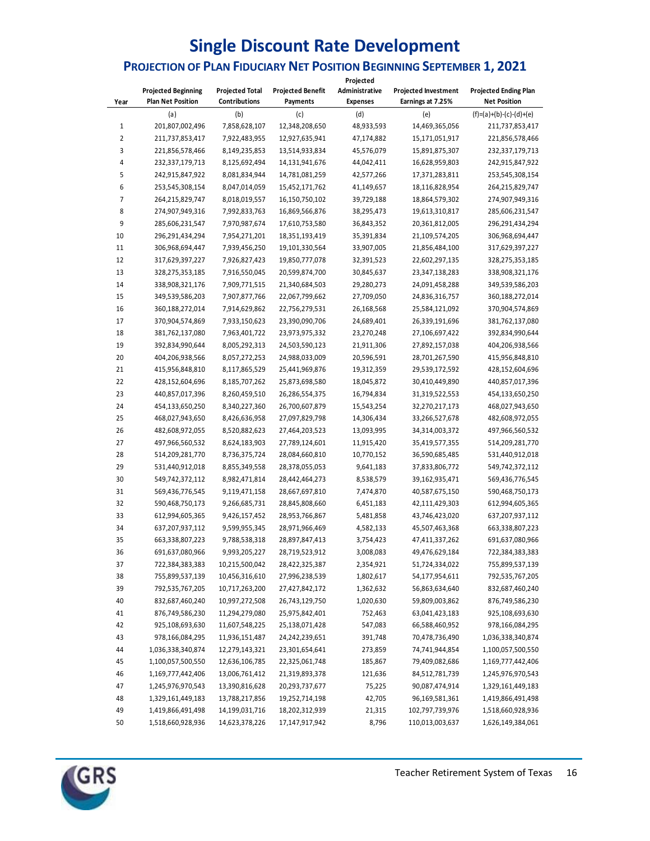## **Single Discount Rate Development**

### **PROJECTION OF PLAN FIDUCIARY NET POSITION BEGINNING SEPTEMBER 1, 2021**

|      |                            |                        |                          | Projected       |                             |                              |
|------|----------------------------|------------------------|--------------------------|-----------------|-----------------------------|------------------------------|
|      | <b>Projected Beginning</b> | <b>Projected Total</b> | <b>Projected Benefit</b> | Administrative  | <b>Projected Investment</b> | <b>Projected Ending Plan</b> |
| Year | <b>Plan Net Position</b>   | Contributions          | Payments                 | <b>Expenses</b> | Earnings at 7.25%           | <b>Net Position</b>          |
|      | (a)                        | (b)                    | (c)                      | (d)             | (e)                         | $(f)=(a)+(b)-(c)-(d)+(e)$    |
| 1    | 201,807,002,496            | 7,858,628,107          | 12,348,208,650           | 48,933,593      | 14,469,365,056              | 211,737,853,417              |
| 2    | 211,737,853,417            | 7,922,483,955          | 12,927,635,941           | 47,174,882      | 15,171,051,917              | 221,856,578,466              |
| 3    | 221,856,578,466            | 8,149,235,853          | 13,514,933,834           | 45,576,079      | 15,891,875,307              | 232,337,179,713              |
| 4    | 232,337,179,713            | 8,125,692,494          | 14,131,941,676           | 44,042,411      | 16,628,959,803              | 242,915,847,922              |
| 5    | 242,915,847,922            | 8,081,834,944          | 14,781,081,259           | 42,577,266      | 17,371,283,811              | 253,545,308,154              |
| 6    | 253,545,308,154            | 8,047,014,059          | 15,452,171,762           | 41,149,657      | 18,116,828,954              | 264,215,829,747              |
| 7    | 264,215,829,747            | 8,018,019,557          | 16,150,750,102           | 39,729,188      | 18,864,579,302              | 274,907,949,316              |
| 8    | 274,907,949,316            | 7,992,833,763          | 16,869,566,876           | 38,295,473      | 19,613,310,817              | 285,606,231,547              |
| 9    | 285,606,231,547            | 7,970,987,674          | 17,610,753,580           | 36,843,352      | 20,361,812,005              | 296,291,434,294              |
| 10   | 296,291,434,294            | 7,954,271,201          | 18,351,193,419           | 35,391,834      | 21,109,574,205              | 306,968,694,447              |
| 11   | 306,968,694,447            | 7,939,456,250          | 19,101,330,564           | 33,907,005      | 21,856,484,100              | 317,629,397,227              |
| 12   | 317,629,397,227            | 7,926,827,423          | 19,850,777,078           | 32,391,523      | 22,602,297,135              | 328,275,353,185              |
| 13   | 328,275,353,185            | 7,916,550,045          | 20,599,874,700           | 30,845,637      | 23,347,138,283              | 338,908,321,176              |
| 14   | 338,908,321,176            | 7,909,771,515          | 21,340,684,503           | 29,280,273      | 24,091,458,288              | 349,539,586,203              |
| 15   | 349,539,586,203            | 7,907,877,766          | 22,067,799,662           | 27,709,050      | 24,836,316,757              | 360,188,272,014              |
| 16   | 360,188,272,014            | 7,914,629,862          | 22,756,279,531           | 26,168,568      | 25,584,121,092              | 370,904,574,869              |
| 17   | 370,904,574,869            | 7,933,150,623          | 23,390,090,706           | 24,689,401      | 26,339,191,696              | 381,762,137,080              |
| 18   | 381,762,137,080            | 7,963,401,722          | 23,973,975,332           | 23,270,248      | 27,106,697,422              | 392,834,990,644              |
| 19   | 392,834,990,644            | 8,005,292,313          | 24,503,590,123           | 21,911,306      | 27,892,157,038              | 404,206,938,566              |
| 20   | 404,206,938,566            | 8,057,272,253          | 24,988,033,009           | 20,596,591      | 28,701,267,590              | 415,956,848,810              |
| 21   | 415,956,848,810            | 8,117,865,529          | 25,441,969,876           | 19,312,359      | 29,539,172,592              | 428,152,604,696              |
| 22   | 428,152,604,696            | 8,185,707,262          | 25,873,698,580           | 18,045,872      | 30,410,449,890              | 440,857,017,396              |
| 23   | 440,857,017,396            | 8,260,459,510          | 26,286,554,375           | 16,794,834      | 31,319,522,553              | 454,133,650,250              |
| 24   | 454,133,650,250            | 8,340,227,360          | 26,700,607,879           | 15,543,254      | 32,270,217,173              | 468,027,943,650              |
| 25   | 468,027,943,650            | 8,426,636,958          | 27,097,829,798           | 14,306,434      | 33,266,527,678              | 482,608,972,055              |
| 26   | 482,608,972,055            | 8,520,882,623          | 27,464,203,523           | 13,093,995      | 34,314,003,372              | 497,966,560,532              |
| 27   | 497,966,560,532            | 8,624,183,903          | 27,789,124,601           | 11,915,420      | 35,419,577,355              | 514,209,281,770              |
| 28   | 514,209,281,770            | 8,736,375,724          | 28,084,660,810           | 10,770,152      | 36,590,685,485              | 531,440,912,018              |
| 29   | 531,440,912,018            | 8,855,349,558          | 28,378,055,053           | 9,641,183       | 37,833,806,772              | 549,742,372,112              |
| 30   | 549,742,372,112            | 8,982,471,814          | 28,442,464,273           | 8,538,579       | 39,162,935,471              | 569,436,776,545              |
| 31   | 569,436,776,545            | 9,119,471,158          | 28,667,697,810           | 7,474,870       | 40,587,675,150              | 590,468,750,173              |
| 32   | 590,468,750,173            | 9,266,685,731          | 28,845,808,660           | 6,451,183       | 42,111,429,303              | 612,994,605,365              |
| 33   | 612,994,605,365            | 9,426,157,452          | 28,953,766,867           | 5,481,858       | 43,746,423,020              | 637,207,937,112              |
| 34   | 637,207,937,112            | 9,599,955,345          | 28,971,966,469           | 4,582,133       | 45,507,463,368              | 663,338,807,223              |
| 35   | 663,338,807,223            | 9,788,538,318          | 28,897,847,413           | 3,754,423       | 47,411,337,262              | 691,637,080,966              |
| 36   | 691,637,080,966            | 9,993,205,227          | 28,719,523,912           | 3,008,083       | 49,476,629,184              | 722,384,383,383              |
| 37   | 722,384,383,383            | 10,215,500,042         | 28,422,325,387           | 2,354,921       | 51,724,334,022              | 755,899,537,139              |
| 38   | 755,899,537,139            | 10,456,316,610         | 27,996,238,539           | 1,802,617       | 54,177,954,611              | 792,535,767,205              |
| 39   | 792,535,767,205            | 10,717,263,200         | 27,427,842,172           | 1,362,632       | 56,863,634,640              | 832,687,460,240              |
| 40   | 832,687,460,240            | 10,997,272,508         | 26,743,129,750           | 1,020,630       | 59,809,003,862              | 876,749,586,230              |
| 41   | 876,749,586,230            | 11,294,279,080         | 25,975,842,401           | 752,463         | 63,041,423,183              | 925,108,693,630              |
| 42   | 925,108,693,630            | 11,607,548,225         | 25,138,071,428           | 547,083         | 66,588,460,952              | 978,166,084,295              |
| 43   | 978,166,084,295            | 11,936,151,487         | 24,242,239,651           | 391,748         | 70,478,736,490              | 1,036,338,340,874            |
| 44   | 1,036,338,340,874          | 12,279,143,321         | 23,301,654,641           | 273,859         | 74,741,944,854              | 1,100,057,500,550            |
| 45   | 1,100,057,500,550          | 12,636,106,785         | 22,325,061,748           | 185,867         | 79,409,082,686              | 1,169,777,442,406            |
| 46   | 1,169,777,442,406          | 13,006,761,412         | 21,319,893,378           | 121,636         | 84,512,781,739              | 1,245,976,970,543            |
| 47   | 1,245,976,970,543          | 13,390,816,628         | 20,293,737,677           | 75,225          | 90,087,474,914              | 1,329,161,449,183            |
| 48   | 1,329,161,449,183          | 13,788,217,856         | 19,252,714,198           | 42,705          | 96,169,581,361              | 1,419,866,491,498            |
| 49   | 1,419,866,491,498          | 14,199,031,716         | 18,202,312,939           | 21,315          | 102,797,739,976             | 1,518,660,928,936            |
| 50   | 1,518,660,928,936          | 14,623,378,226         | 17,147,917,942           | 8,796           | 110,013,003,637             | 1,626,149,384,061            |
|      |                            |                        |                          |                 |                             |                              |

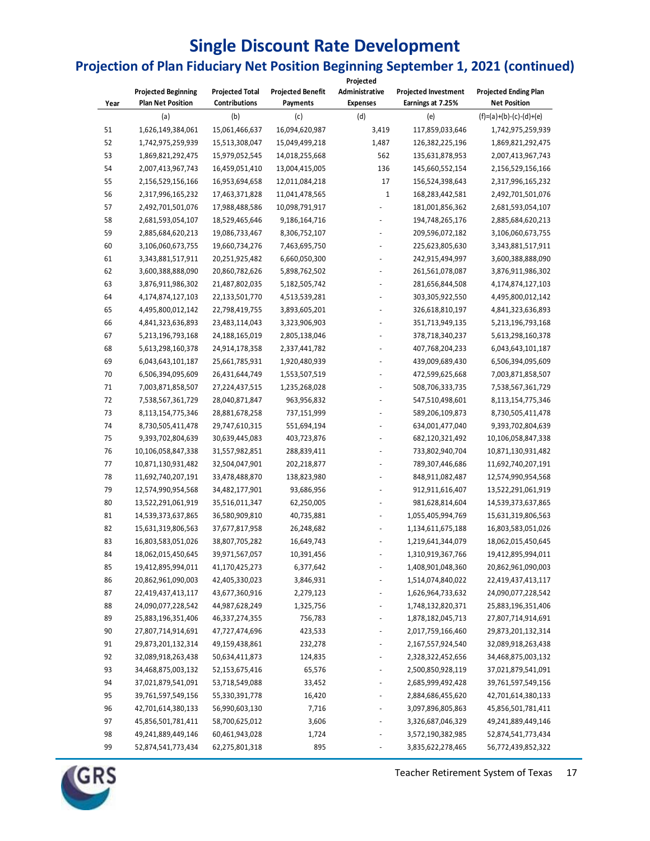### **Single Discount Rate Development**

## **Projection of Plan Fiduciary Net Position Beginning September 1, 2021 (continued)**

|      |                                                        |                                         |                          | Projected                         |                                                  |                                                     |
|------|--------------------------------------------------------|-----------------------------------------|--------------------------|-----------------------------------|--------------------------------------------------|-----------------------------------------------------|
|      | <b>Projected Beginning</b><br><b>Plan Net Position</b> | <b>Projected Total</b><br>Contributions | <b>Projected Benefit</b> | Administrative<br><b>Expenses</b> | <b>Projected Investment</b><br>Earnings at 7.25% | <b>Projected Ending Plan</b><br><b>Net Position</b> |
| Year |                                                        |                                         | Payments                 |                                   |                                                  |                                                     |
|      | (a)                                                    | (b)                                     | (c)                      | (d)                               | (e)                                              | $(f)=(a)+(b)-(c)-(d)+(e)$                           |
| 51   | 1,626,149,384,061                                      | 15,061,466,637                          | 16,094,620,987           | 3,419                             | 117,859,033,646                                  | 1,742,975,259,939                                   |
| 52   | 1,742,975,259,939                                      | 15,513,308,047                          | 15,049,499,218           | 1,487                             | 126,382,225,196                                  | 1,869,821,292,475                                   |
| 53   | 1,869,821,292,475                                      | 15,979,052,545                          | 14,018,255,668           | 562                               | 135,631,878,953                                  | 2,007,413,967,743                                   |
| 54   | 2,007,413,967,743                                      | 16,459,051,410                          | 13,004,415,005           | 136                               | 145,660,552,154                                  | 2,156,529,156,166                                   |
| 55   | 2,156,529,156,166                                      | 16,953,694,658                          | 12,011,084,218           | 17                                | 156,524,398,643                                  | 2,317,996,165,232                                   |
| 56   | 2,317,996,165,232                                      | 17,463,371,828                          | 11,041,478,565           | $\mathbf 1$                       | 168,283,442,581                                  | 2,492,701,501,076                                   |
| 57   | 2,492,701,501,076                                      | 17,988,488,586                          | 10,098,791,917           |                                   | 181,001,856,362                                  | 2,681,593,054,107                                   |
| 58   | 2,681,593,054,107                                      | 18,529,465,646                          | 9,186,164,716            |                                   | 194,748,265,176                                  | 2,885,684,620,213                                   |
| 59   | 2,885,684,620,213                                      | 19,086,733,467                          | 8,306,752,107            |                                   | 209,596,072,182                                  | 3,106,060,673,755                                   |
| 60   | 3,106,060,673,755                                      | 19,660,734,276                          | 7,463,695,750            |                                   | 225,623,805,630                                  | 3,343,881,517,911                                   |
| 61   | 3,343,881,517,911                                      | 20,251,925,482                          | 6,660,050,300            |                                   | 242,915,494,997                                  | 3,600,388,888,090                                   |
| 62   | 3,600,388,888,090                                      | 20,860,782,626                          | 5,898,762,502            |                                   | 261,561,078,087                                  | 3,876,911,986,302                                   |
| 63   | 3,876,911,986,302                                      | 21,487,802,035                          | 5,182,505,742            |                                   | 281,656,844,508                                  | 4,174,874,127,103                                   |
| 64   | 4,174,874,127,103                                      | 22,133,501,770                          | 4,513,539,281            |                                   | 303,305,922,550                                  | 4,495,800,012,142                                   |
| 65   | 4,495,800,012,142                                      | 22,798,419,755                          | 3,893,605,201            |                                   | 326,618,810,197                                  | 4,841,323,636,893                                   |
| 66   | 4,841,323,636,893                                      | 23,483,114,043                          | 3,323,906,903            |                                   | 351,713,949,135                                  | 5,213,196,793,168                                   |
| 67   | 5,213,196,793,168                                      | 24,188,165,019                          | 2,805,138,046            |                                   | 378,718,340,237                                  | 5,613,298,160,378                                   |
| 68   | 5,613,298,160,378                                      | 24,914,178,358                          | 2,337,441,782            |                                   | 407,768,204,233                                  | 6,043,643,101,187                                   |
| 69   | 6,043,643,101,187                                      | 25,661,785,931                          | 1,920,480,939            |                                   | 439,009,689,430                                  | 6,506,394,095,609                                   |
| 70   | 6,506,394,095,609                                      | 26,431,644,749                          | 1,553,507,519            |                                   | 472,599,625,668                                  | 7,003,871,858,507                                   |
| 71   | 7,003,871,858,507                                      | 27,224,437,515                          | 1,235,268,028            |                                   | 508,706,333,735                                  | 7,538,567,361,729                                   |
| 72   | 7,538,567,361,729                                      | 28,040,871,847                          | 963,956,832              |                                   | 547,510,498,601                                  | 8,113,154,775,346                                   |
| 73   | 8,113,154,775,346                                      | 28,881,678,258                          | 737,151,999              |                                   | 589,206,109,873                                  | 8,730,505,411,478                                   |
| 74   | 8,730,505,411,478                                      | 29,747,610,315                          | 551,694,194              |                                   | 634,001,477,040                                  | 9,393,702,804,639                                   |
| 75   | 9,393,702,804,639                                      | 30,639,445,083                          | 403,723,876              |                                   | 682,120,321,492                                  | 10,106,058,847,338                                  |
| 76   | 10,106,058,847,338                                     | 31,557,982,851                          | 288,839,411              |                                   | 733,802,940,704                                  | 10,871,130,931,482                                  |
| 77   | 10,871,130,931,482                                     | 32,504,047,901                          | 202,218,877              |                                   | 789,307,446,686                                  | 11,692,740,207,191                                  |
| 78   | 11,692,740,207,191                                     | 33,478,488,870                          | 138,823,980              | ÷,                                | 848,911,082,487                                  | 12,574,990,954,568                                  |
| 79   | 12,574,990,954,568                                     | 34,482,177,901                          | 93,686,956               | ÷,                                | 912,911,616,407                                  | 13,522,291,061,919                                  |
| 80   | 13,522,291,061,919                                     | 35,516,011,347                          | 62,250,005               |                                   | 981,628,814,604                                  | 14,539,373,637,865                                  |
| 81   | 14,539,373,637,865                                     | 36,580,909,810                          | 40,735,881               |                                   | 1,055,405,994,769                                | 15,631,319,806,563                                  |
| 82   | 15,631,319,806,563                                     | 37,677,817,958                          | 26,248,682               |                                   | 1,134,611,675,188                                | 16,803,583,051,026                                  |
| 83   | 16,803,583,051,026                                     | 38,807,705,282                          | 16,649,743               |                                   | 1,219,641,344,079                                | 18,062,015,450,645                                  |
| 84   | 18,062,015,450,645                                     | 39,971,567,057                          | 10,391,456               |                                   | 1,310,919,367,766                                | 19,412,895,994,011                                  |
| 85   | 19,412,895,994,011                                     | 41,170,425,273                          | 6,377,642                |                                   | 1,408,901,048,360                                | 20,862,961,090,003                                  |
| 86   | 20,862,961,090,003                                     | 42,405,330,023                          | 3,846,931                |                                   | 1,514,074,840,022                                | 22,419,437,413,117                                  |
| 87   | 22,419,437,413,117                                     | 43,677,360,916                          | 2,279,123                |                                   | 1,626,964,733,632                                | 24,090,077,228,542                                  |
| 88   | 24,090,077,228,542                                     | 44,987,628,249                          |                          |                                   | 1,748,132,820,371                                |                                                     |
| 89   |                                                        |                                         | 1,325,756<br>756,783     |                                   | 1,878,182,045,713                                | 25,883,196,351,406                                  |
|      | 25,883,196,351,406                                     | 46,337,274,355                          |                          |                                   |                                                  | 27,807,714,914,691                                  |
| 90   | 27,807,714,914,691                                     | 47,727,474,696                          | 423,533                  |                                   | 2,017,759,166,460                                | 29,873,201,132,314                                  |
| 91   | 29,873,201,132,314                                     | 49,159,438,861                          | 232,278                  |                                   | 2,167,557,924,540                                | 32,089,918,263,438                                  |
| 92   | 32,089,918,263,438                                     | 50,634,411,873                          | 124,835                  |                                   | 2,328,322,452,656                                | 34,468,875,003,132                                  |
| 93   | 34,468,875,003,132                                     | 52,153,675,416                          | 65,576                   |                                   | 2,500,850,928,119                                | 37,021,879,541,091                                  |
| 94   | 37,021,879,541,091                                     | 53,718,549,088                          | 33,452                   |                                   | 2,685,999,492,428                                | 39,761,597,549,156                                  |
| 95   | 39,761,597,549,156                                     | 55,330,391,778                          | 16,420                   |                                   | 2,884,686,455,620                                | 42,701,614,380,133                                  |
| 96   | 42,701,614,380,133                                     | 56,990,603,130                          | 7,716                    |                                   | 3,097,896,805,863                                | 45,856,501,781,411                                  |
| 97   | 45,856,501,781,411                                     | 58,700,625,012                          | 3,606                    |                                   | 3,326,687,046,329                                | 49,241,889,449,146                                  |
| 98   | 49,241,889,449,146                                     | 60,461,943,028                          | 1,724                    |                                   | 3,572,190,382,985                                | 52,874,541,773,434                                  |
| 99   | 52,874,541,773,434                                     | 62,275,801,318                          | 895                      |                                   | 3,835,622,278,465                                | 56,772,439,852,322                                  |



Teacher Retirement System of Texas 17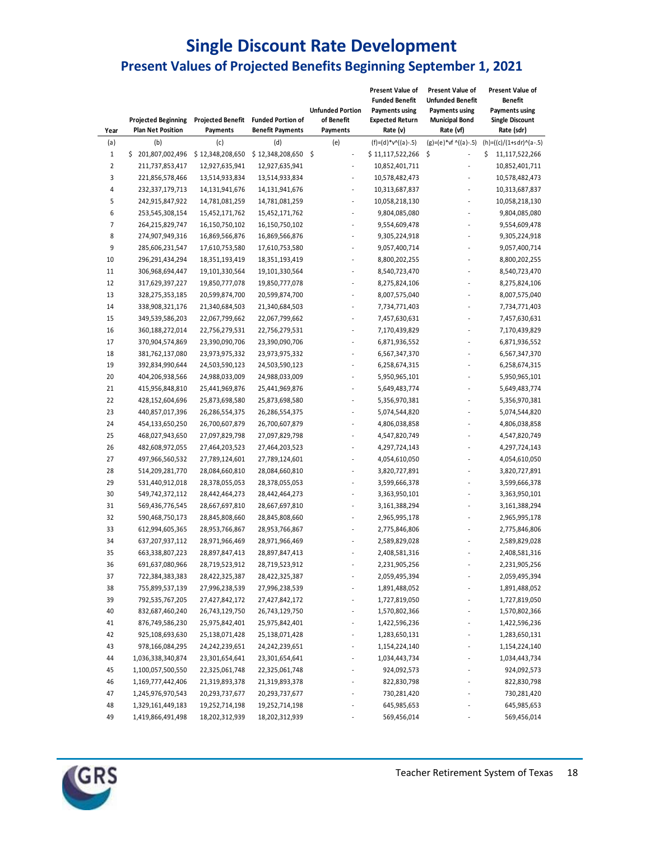#### **Single Discount Rate Development Present Values of Projected Benefits Beginning September 1, 2021**

| Year           | <b>Projected Beginning</b><br><b>Plan Net Position</b> | Projected Benefit<br>Payments | <b>Funded Portion of</b><br><b>Benefit Payments</b> | <b>Unfunded Portion</b><br>of Benefit<br>Payments | Present Value of<br><b>Funded Benefit</b><br><b>Payments using</b><br><b>Expected Return</b><br>Rate (v) | <b>Present Value of</b><br>Unfunded Benefit<br><b>Payments using</b><br><b>Municipal Bond</b><br>Rate (vf) | Present Value of<br><b>Benefit</b><br><b>Payments using</b><br><b>Single Discount</b><br>Rate (sdr) |
|----------------|--------------------------------------------------------|-------------------------------|-----------------------------------------------------|---------------------------------------------------|----------------------------------------------------------------------------------------------------------|------------------------------------------------------------------------------------------------------------|-----------------------------------------------------------------------------------------------------|
| (a)            | (b)                                                    | (c)                           | (d)                                                 | (e)                                               | $(f)=(d)*v^((a)-.5)$                                                                                     | $(g)=(e)*vf$ ^((a)-.5)                                                                                     | $(h)=(c)/(1+s dr)^{(a-.5)}$                                                                         |
| $\mathbf 1$    | \$201,807,002,496                                      | \$12,348,208,650              | $$12,348,208,650$ \$                                | $\overline{a}$                                    | \$11,117,522,266                                                                                         | \$                                                                                                         | \$<br>11,117,522,266                                                                                |
| $\overline{2}$ | 211,737,853,417                                        | 12,927,635,941                | 12,927,635,941                                      | ÷,                                                | 10,852,401,711                                                                                           |                                                                                                            | 10,852,401,711                                                                                      |
| 3              | 221,856,578,466                                        | 13,514,933,834                | 13,514,933,834                                      | $\overline{a}$                                    | 10,578,482,473                                                                                           |                                                                                                            | 10,578,482,473                                                                                      |
| 4              | 232,337,179,713                                        | 14,131,941,676                | 14,131,941,676                                      | L,                                                | 10,313,687,837                                                                                           |                                                                                                            | 10,313,687,837                                                                                      |
| 5              | 242,915,847,922                                        | 14,781,081,259                | 14,781,081,259                                      | L,                                                | 10,058,218,130                                                                                           |                                                                                                            | 10,058,218,130                                                                                      |
| 6              | 253,545,308,154                                        | 15,452,171,762                | 15,452,171,762                                      | $\overline{a}$                                    | 9,804,085,080                                                                                            |                                                                                                            | 9,804,085,080                                                                                       |
| 7              | 264,215,829,747                                        | 16,150,750,102                | 16,150,750,102                                      |                                                   | 9,554,609,478                                                                                            |                                                                                                            | 9,554,609,478                                                                                       |
| 8              | 274,907,949,316                                        | 16,869,566,876                | 16,869,566,876                                      |                                                   | 9,305,224,918                                                                                            |                                                                                                            | 9,305,224,918                                                                                       |
| 9              | 285,606,231,547                                        | 17,610,753,580                | 17,610,753,580                                      |                                                   | 9,057,400,714                                                                                            |                                                                                                            | 9,057,400,714                                                                                       |
| 10             | 296,291,434,294                                        | 18,351,193,419                | 18,351,193,419                                      | ä,                                                | 8,800,202,255                                                                                            |                                                                                                            | 8,800,202,255                                                                                       |
| 11             | 306,968,694,447                                        | 19,101,330,564                | 19,101,330,564                                      |                                                   | 8,540,723,470                                                                                            |                                                                                                            | 8,540,723,470                                                                                       |
| 12             | 317,629,397,227                                        | 19,850,777,078                | 19,850,777,078                                      |                                                   | 8,275,824,106                                                                                            |                                                                                                            | 8,275,824,106                                                                                       |
| 13             | 328,275,353,185                                        | 20,599,874,700                | 20,599,874,700                                      | L,                                                | 8,007,575,040                                                                                            |                                                                                                            | 8,007,575,040                                                                                       |
| 14             | 338,908,321,176                                        | 21,340,684,503                | 21,340,684,503                                      | $\overline{a}$                                    | 7,734,771,403                                                                                            |                                                                                                            | 7,734,771,403                                                                                       |
| 15             | 349,539,586,203                                        | 22,067,799,662                | 22,067,799,662                                      |                                                   | 7,457,630,631                                                                                            |                                                                                                            | 7,457,630,631                                                                                       |
| 16             | 360,188,272,014                                        | 22,756,279,531                | 22,756,279,531                                      | L,                                                | 7,170,439,829                                                                                            |                                                                                                            | 7,170,439,829                                                                                       |
| 17             | 370,904,574,869                                        | 23,390,090,706                | 23,390,090,706                                      | $\overline{a}$                                    | 6,871,936,552                                                                                            |                                                                                                            | 6,871,936,552                                                                                       |
| 18             | 381,762,137,080                                        | 23,973,975,332                | 23,973,975,332                                      | $\overline{a}$                                    | 6,567,347,370                                                                                            |                                                                                                            | 6,567,347,370                                                                                       |
| 19             | 392,834,990,644                                        | 24,503,590,123                | 24,503,590,123                                      | ٠                                                 | 6,258,674,315                                                                                            |                                                                                                            | 6,258,674,315                                                                                       |
| 20             | 404,206,938,566                                        | 24,988,033,009                | 24,988,033,009                                      |                                                   | 5,950,965,101                                                                                            |                                                                                                            | 5,950,965,101                                                                                       |
| 21             | 415,956,848,810                                        | 25,441,969,876                | 25,441,969,876                                      |                                                   | 5,649,483,774                                                                                            |                                                                                                            | 5,649,483,774                                                                                       |
| 22             | 428,152,604,696                                        | 25,873,698,580                | 25,873,698,580                                      |                                                   | 5,356,970,381                                                                                            |                                                                                                            | 5,356,970,381                                                                                       |
| 23             | 440,857,017,396                                        | 26,286,554,375                | 26,286,554,375                                      |                                                   | 5,074,544,820                                                                                            |                                                                                                            | 5,074,544,820                                                                                       |
| 24             | 454,133,650,250                                        | 26,700,607,879                | 26,700,607,879                                      |                                                   | 4,806,038,858                                                                                            |                                                                                                            | 4,806,038,858                                                                                       |
| 25             | 468,027,943,650                                        | 27,097,829,798                | 27,097,829,798                                      |                                                   | 4,547,820,749                                                                                            |                                                                                                            | 4,547,820,749                                                                                       |
| 26             | 482,608,972,055                                        | 27,464,203,523                | 27,464,203,523                                      |                                                   | 4,297,724,143                                                                                            |                                                                                                            | 4,297,724,143                                                                                       |
| 27             | 497,966,560,532                                        | 27,789,124,601                | 27,789,124,601                                      |                                                   | 4,054,610,050                                                                                            |                                                                                                            | 4,054,610,050                                                                                       |
| 28             | 514,209,281,770                                        | 28,084,660,810                | 28,084,660,810                                      | ä,                                                | 3,820,727,891                                                                                            |                                                                                                            | 3,820,727,891                                                                                       |
| 29             | 531,440,912,018                                        | 28,378,055,053                | 28,378,055,053                                      | $\overline{a}$                                    | 3,599,666,378                                                                                            |                                                                                                            | 3,599,666,378                                                                                       |
| 30             | 549,742,372,112                                        | 28,442,464,273                | 28,442,464,273                                      | $\overline{a}$                                    | 3,363,950,101                                                                                            |                                                                                                            | 3,363,950,101                                                                                       |
| 31             | 569,436,776,545                                        | 28,667,697,810                | 28,667,697,810                                      | L,                                                | 3,161,388,294                                                                                            |                                                                                                            | 3,161,388,294                                                                                       |
| 32             | 590,468,750,173                                        | 28,845,808,660                | 28,845,808,660                                      |                                                   | 2,965,995,178                                                                                            |                                                                                                            | 2,965,995,178                                                                                       |
| 33             | 612,994,605,365                                        | 28,953,766,867                | 28,953,766,867                                      |                                                   | 2,775,846,806                                                                                            |                                                                                                            | 2,775,846,806                                                                                       |
| 34             | 637,207,937,112                                        | 28,971,966,469                | 28,971,966,469                                      |                                                   | 2,589,829,028                                                                                            |                                                                                                            | 2,589,829,028                                                                                       |
| 35             | 663,338,807,223                                        | 28,897,847,413                | 28,897,847,413                                      | L,                                                | 2,408,581,316                                                                                            |                                                                                                            | 2,408,581,316                                                                                       |
| 36             | 691,637,080,966                                        | 28,719,523,912                | 28,719,523,912                                      |                                                   | 2,231,905,256                                                                                            |                                                                                                            | 2,231,905,256                                                                                       |
| 37             | 722,384,383,383                                        | 28,422,325,387                | 28,422,325,387                                      |                                                   | 2,059,495,394                                                                                            |                                                                                                            | 2,059,495,394                                                                                       |
| 38             | 755,899,537,139                                        | 27,996,238,539                | 27,996,238,539                                      |                                                   | 1,891,488,052                                                                                            |                                                                                                            | 1,891,488,052                                                                                       |
| 39             | 792,535,767,205                                        | 27,427,842,172                | 27,427,842,172                                      |                                                   | 1,727,819,050                                                                                            |                                                                                                            | 1,727,819,050                                                                                       |
| 40             | 832,687,460,240                                        | 26,743,129,750                | 26,743,129,750                                      |                                                   | 1,570,802,366                                                                                            |                                                                                                            | 1,570,802,366                                                                                       |
| 41             | 876,749,586,230                                        | 25,975,842,401                | 25,975,842,401                                      | $\overline{\phantom{a}}$                          | 1,422,596,236                                                                                            |                                                                                                            | 1,422,596,236                                                                                       |
| 42             | 925,108,693,630                                        | 25,138,071,428                | 25,138,071,428                                      |                                                   | 1,283,650,131                                                                                            |                                                                                                            | 1,283,650,131                                                                                       |
| 43             | 978,166,084,295                                        | 24,242,239,651                | 24,242,239,651                                      | $\overline{\phantom{a}}$                          | 1,154,224,140                                                                                            |                                                                                                            | 1,154,224,140                                                                                       |
| 44             | 1,036,338,340,874                                      | 23,301,654,641                | 23,301,654,641                                      | $\overline{\phantom{a}}$                          | 1,034,443,734                                                                                            |                                                                                                            | 1,034,443,734                                                                                       |
| 45             | 1,100,057,500,550                                      | 22,325,061,748                | 22,325,061,748                                      |                                                   | 924,092,573                                                                                              |                                                                                                            | 924,092,573                                                                                         |
| 46             | 1,169,777,442,406                                      | 21,319,893,378                | 21,319,893,378                                      |                                                   | 822,830,798                                                                                              |                                                                                                            | 822,830,798                                                                                         |
| 47             | 1,245,976,970,543                                      | 20,293,737,677                | 20,293,737,677                                      |                                                   | 730,281,420                                                                                              |                                                                                                            | 730,281,420                                                                                         |
| 48             | 1,329,161,449,183                                      | 19,252,714,198                | 19,252,714,198                                      |                                                   | 645,985,653                                                                                              |                                                                                                            | 645,985,653                                                                                         |
| 49             | 1,419,866,491,498                                      | 18,202,312,939                | 18,202,312,939                                      |                                                   | 569,456,014                                                                                              |                                                                                                            | 569,456,014                                                                                         |
|                |                                                        |                               |                                                     |                                                   |                                                                                                          |                                                                                                            |                                                                                                     |